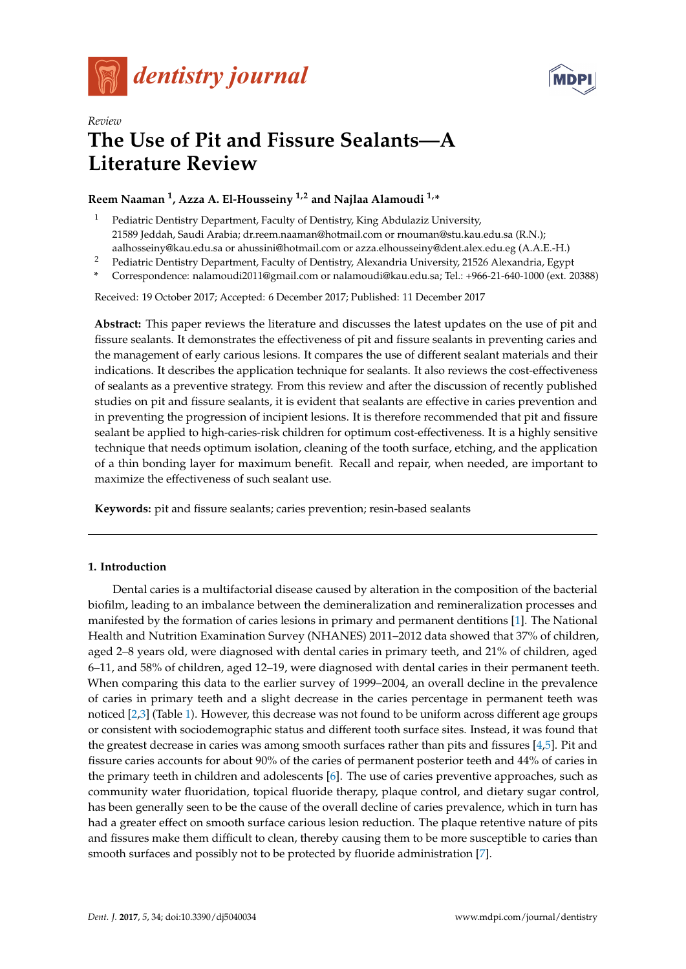



# *Review* **The Use of Pit and Fissure Sealants—A Literature Review**

# **Reem Naaman <sup>1</sup> , Azza A. El-Housseiny 1,2 and Najlaa Alamoudi 1,\***

- <sup>1</sup> Pediatric Dentistry Department, Faculty of Dentistry, King Abdulaziz University, 21589 Jeddah, Saudi Arabia; dr.reem.naaman@hotmail.com or rnouman@stu.kau.edu.sa (R.N.); aalhosseiny@kau.edu.sa or ahussini@hotmail.com or azza.elhousseiny@dent.alex.edu.eg (A.A.E.-H.)
- <sup>2</sup> Pediatric Dentistry Department, Faculty of Dentistry, Alexandria University, 21526 Alexandria, Egypt
- **\*** Correspondence: nalamoudi2011@gmail.com or nalamoudi@kau.edu.sa; Tel.: +966-21-640-1000 (ext. 20388)

Received: 19 October 2017; Accepted: 6 December 2017; Published: 11 December 2017

**Abstract:** This paper reviews the literature and discusses the latest updates on the use of pit and fissure sealants. It demonstrates the effectiveness of pit and fissure sealants in preventing caries and the management of early carious lesions. It compares the use of different sealant materials and their indications. It describes the application technique for sealants. It also reviews the cost-effectiveness of sealants as a preventive strategy. From this review and after the discussion of recently published studies on pit and fissure sealants, it is evident that sealants are effective in caries prevention and in preventing the progression of incipient lesions. It is therefore recommended that pit and fissure sealant be applied to high-caries-risk children for optimum cost-effectiveness. It is a highly sensitive technique that needs optimum isolation, cleaning of the tooth surface, etching, and the application of a thin bonding layer for maximum benefit. Recall and repair, when needed, are important to maximize the effectiveness of such sealant use.

**Keywords:** pit and fissure sealants; caries prevention; resin-based sealants

# **1. Introduction**

Dental caries is a multifactorial disease caused by alteration in the composition of the bacterial biofilm, leading to an imbalance between the demineralization and remineralization processes and manifested by the formation of caries lesions in primary and permanent dentitions [\[1\]](#page-14-0). The National Health and Nutrition Examination Survey (NHANES) 2011–2012 data showed that 37% of children, aged 2–8 years old, were diagnosed with dental caries in primary teeth, and 21% of children, aged 6–11, and 58% of children, aged 12–19, were diagnosed with dental caries in their permanent teeth. When comparing this data to the earlier survey of 1999–2004, an overall decline in the prevalence of caries in primary teeth and a slight decrease in the caries percentage in permanent teeth was noticed [\[2,](#page-14-1)[3\]](#page-14-2) (Table [1\)](#page-1-0). However, this decrease was not found to be uniform across different age groups or consistent with sociodemographic status and different tooth surface sites. Instead, it was found that the greatest decrease in caries was among smooth surfaces rather than pits and fissures [\[4,](#page-14-3)[5\]](#page-14-4). Pit and fissure caries accounts for about 90% of the caries of permanent posterior teeth and 44% of caries in the primary teeth in children and adolescents [\[6\]](#page-14-5). The use of caries preventive approaches, such as community water fluoridation, topical fluoride therapy, plaque control, and dietary sugar control, has been generally seen to be the cause of the overall decline of caries prevalence, which in turn has had a greater effect on smooth surface carious lesion reduction. The plaque retentive nature of pits and fissures make them difficult to clean, thereby causing them to be more susceptible to caries than smooth surfaces and possibly not to be protected by fluoride administration [\[7\]](#page-14-6).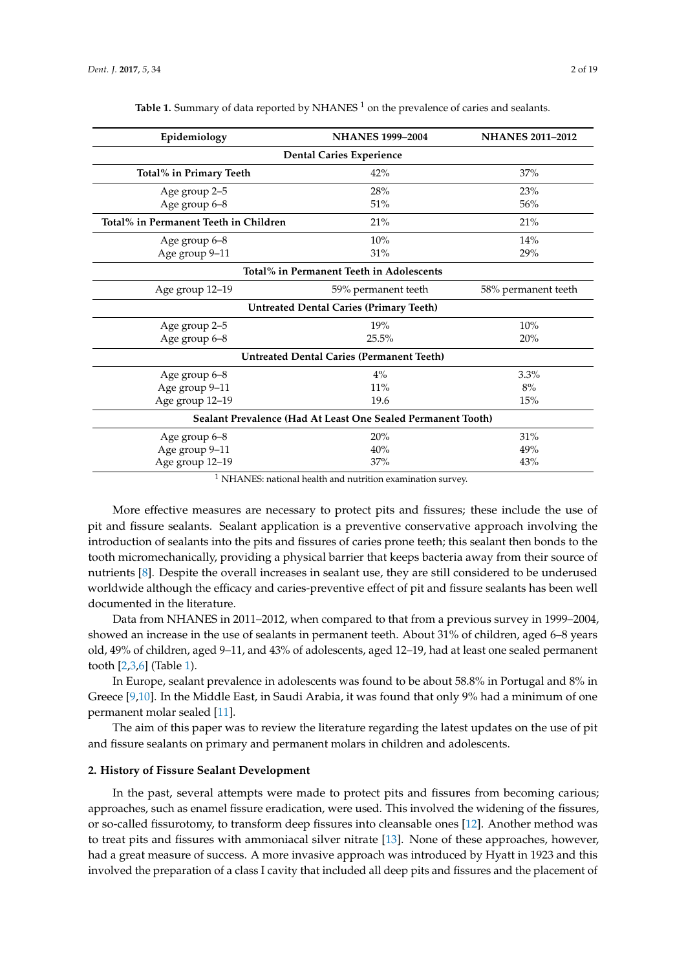<span id="page-1-0"></span>

| Epidemiology                                                 | <b>NHANES 1999-2004</b>                                      | <b>NHANES 2011-2012</b> |  |  |
|--------------------------------------------------------------|--------------------------------------------------------------|-------------------------|--|--|
| <b>Dental Caries Experience</b>                              |                                                              |                         |  |  |
| Total% in Primary Teeth                                      | 42%                                                          | 37%                     |  |  |
| Age group 2-5                                                | 28%                                                          | 23%                     |  |  |
| Age group 6-8                                                | 51%                                                          | 56%                     |  |  |
| Total% in Permanent Teeth in Children                        | 21%                                                          | 21%                     |  |  |
| Age group 6-8                                                | 10%                                                          | 14%                     |  |  |
| Age group 9-11                                               | 31%                                                          | 29%                     |  |  |
| Total% in Permanent Teeth in Adolescents                     |                                                              |                         |  |  |
| Age group 12-19                                              | 59% permanent teeth                                          | 58% permanent teeth     |  |  |
| <b>Untreated Dental Caries (Primary Teeth)</b>               |                                                              |                         |  |  |
| Age group 2–5                                                | 19%                                                          | 10%                     |  |  |
| Age group 6-8                                                | 25.5%                                                        | 20%                     |  |  |
| <b>Untreated Dental Caries (Permanent Teeth)</b>             |                                                              |                         |  |  |
| Age group 6-8                                                | $4\%$                                                        | 3.3%                    |  |  |
| Age group 9-11                                               | 11%                                                          | 8%                      |  |  |
| Age group 12-19                                              | 19.6                                                         | 15%                     |  |  |
| Sealant Prevalence (Had At Least One Sealed Permanent Tooth) |                                                              |                         |  |  |
| Age group 6-8                                                | 20%                                                          | 31%                     |  |  |
| Age group 9-11                                               | 40%                                                          | 49%                     |  |  |
| Age group 12-19                                              | 37%                                                          | 43%                     |  |  |
|                                                              | $1$ NHANES: pational health and putrition examination survey |                         |  |  |

Table 1. Summary of data reported by NHANES<sup>1</sup> on the prevalence of caries and sealants.

<sup>1</sup> NHANES: national health and nutrition examination survey.

More effective measures are necessary to protect pits and fissures; these include the use of pit and fissure sealants. Sealant application is a preventive conservative approach involving the introduction of sealants into the pits and fissures of caries prone teeth; this sealant then bonds to the tooth micromechanically, providing a physical barrier that keeps bacteria away from their source of nutrients [\[8\]](#page-14-7). Despite the overall increases in sealant use, they are still considered to be underused worldwide although the efficacy and caries-preventive effect of pit and fissure sealants has been well documented in the literature.

Data from NHANES in 2011–2012, when compared to that from a previous survey in 1999–2004, showed an increase in the use of sealants in permanent teeth. About 31% of children, aged 6–8 years old, 49% of children, aged 9–11, and 43% of adolescents, aged 12–19, had at least one sealed permanent tooth [\[2](#page-14-1)[,3](#page-14-2)[,6\]](#page-14-5) (Table [1\)](#page-1-0).

In Europe, sealant prevalence in adolescents was found to be about 58.8% in Portugal and 8% in Greece [\[9](#page-14-8)[,10\]](#page-14-9). In the Middle East, in Saudi Arabia, it was found that only 9% had a minimum of one permanent molar sealed [\[11\]](#page-14-10).

The aim of this paper was to review the literature regarding the latest updates on the use of pit and fissure sealants on primary and permanent molars in children and adolescents.

#### **2. History of Fissure Sealant Development**

In the past, several attempts were made to protect pits and fissures from becoming carious; approaches, such as enamel fissure eradication, were used. This involved the widening of the fissures, or so-called fissurotomy, to transform deep fissures into cleansable ones [\[12\]](#page-14-11). Another method was to treat pits and fissures with ammoniacal silver nitrate [\[13\]](#page-14-12). None of these approaches, however, had a great measure of success. A more invasive approach was introduced by Hyatt in 1923 and this involved the preparation of a class I cavity that included all deep pits and fissures and the placement of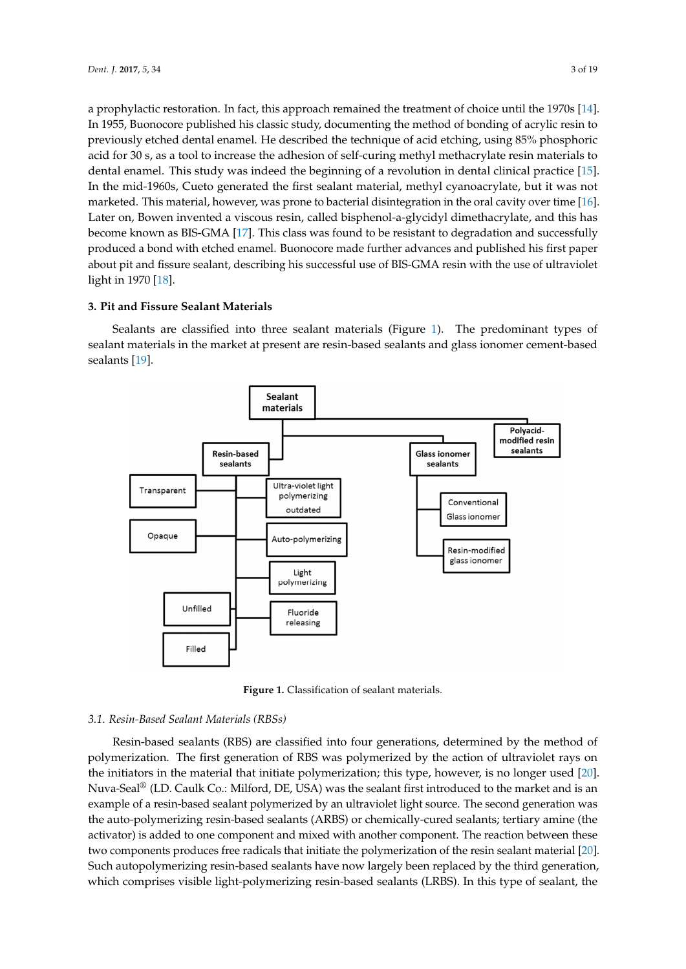a prophylactic restoration. In fact, this approach remained the treatment of choice until the 1970s [\[14\]](#page-14-13). In 1955, Buonocore published his classic study, documenting the method of bonding of acrylic resin to previously etched dental enamel. He described the technique of acid etching, using 85% phosphoric acid for 30 s, as a tool to increase the adhesion of self-curing methyl methacrylate resin materials to dental enamel. This study was indeed the beginning of a revolution in dental clinical practice [\[15\]](#page-14-14). In the mid-1960s, Cueto generated the first sealant material, methyl cyanoacrylate, but it was not marketed. This material, however, was prone to bacterial disintegration in the oral cavity over time [\[16\]](#page-15-0). Later on, Bowen invented a viscous resin, called bisphenol-a-glycidyl dimethacrylate, and this has become known as BIS-GMA [\[17\]](#page-15-1). This class was found to be resistant to degradation and successfully produced a bond with etched enamel. Buonocore made further advances and published his first paper about pit and fissure sealant, describing his successful use of BIS-GMA resin with the use of ultraviolet light in 1970 [\[18\]](#page-15-2). production from the mid-1960s, Cueto generated the first sealant material, methyl cyclicate, but the first sealant material, methyl cyclicate, but the first sealant material, methyl cyclicate, but the first sealant materia his first paper about pit and fissure search, describing his successful use of  $B$ -GMA resin with the successful use of  $B$ 

## **3. Pit and Fissure Sealant Materials**

Sealants are classified into three sealant materials (Figure [1\)](#page-2-0). The predominant types of sealant materials in the market at present are resin-based sealants and glass ionomer cement-based sealants [\[19\]](#page-15-3). [19]. materials in the materials in the materials are resin-based sealants and glass ionomer center based sealants and glass in  $\sigma$ 

<span id="page-2-0"></span>

**Figure 1.** Classification of sealant materials. **Figure 1.** Classification of sealant materials.

## *3.1. Resin-Based Sealant Materials (RBSs) 3.1. Resin-Based Sealant Materials (RBSs)*

Resin-based sealants (RBS) are classified into four generations, determined by the method of Resin-based sealants (RBS) are classified into four generations, determined by the method of polymerization. The first generation of RBS was polymerized by the action of ultraviolet rays on the initiators in the material that initiate polymerization; this type, however, is no longer used [\[20\]](#page-15-4). Nuva-Seal<sup>®</sup> (LD. Caulk Co.: Milford, DE, USA) was the sealant first introduced to the market and is an example of a resin-based sealant polymerized by a resident polymerized by an ultraviolet light source. The second generation generation generation generation generation generation generation generation generation generatio example of a resin-based sealant polymerized by an ultraviolet light source. The second generation was the auto-polymerizing resin-based sealants (ARBS) or chemically-cured sealants; tertiary amine (the activator) is added to one component and mixed with another component. The reaction between these two components produces free radicals that initiate the polymerization of the resin sealant material [\[20\]](#page-15-4). Such autopolymerizing resin-based sealants have now largely been replaced by the third generation, which comprises visible light-polymerizing resin-based sealants (LRBS). In this type of sealant, the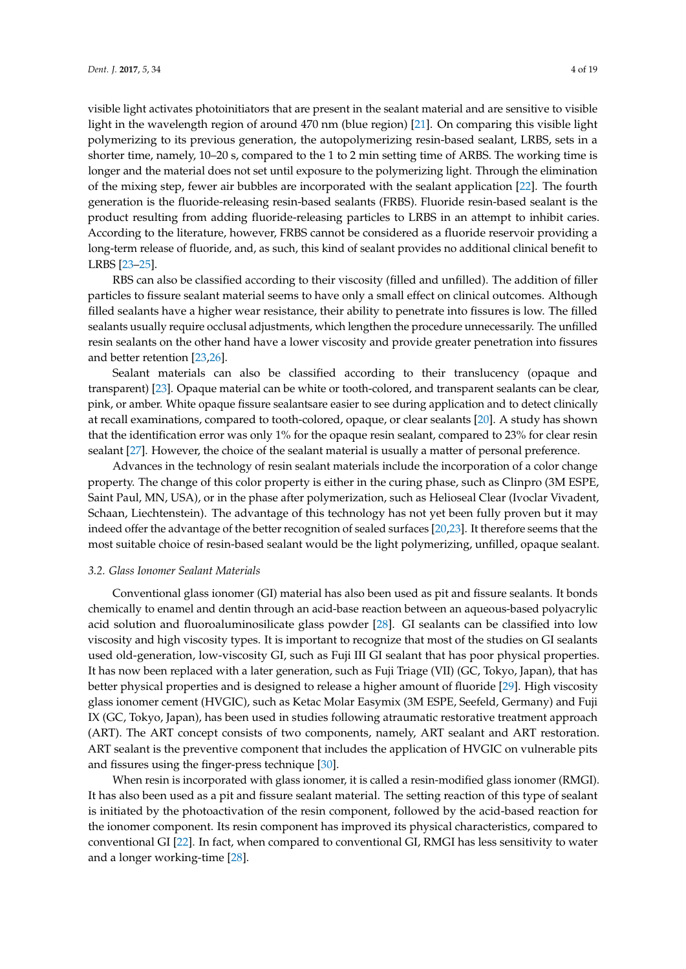visible light activates photoinitiators that are present in the sealant material and are sensitive to visible light in the wavelength region of around 470 nm (blue region) [\[21\]](#page-15-5). On comparing this visible light polymerizing to its previous generation, the autopolymerizing resin-based sealant, LRBS, sets in a shorter time, namely, 10–20 s, compared to the 1 to 2 min setting time of ARBS. The working time is longer and the material does not set until exposure to the polymerizing light. Through the elimination of the mixing step, fewer air bubbles are incorporated with the sealant application [\[22\]](#page-15-6). The fourth generation is the fluoride-releasing resin-based sealants (FRBS). Fluoride resin-based sealant is the product resulting from adding fluoride-releasing particles to LRBS in an attempt to inhibit caries. According to the literature, however, FRBS cannot be considered as a fluoride reservoir providing a long-term release of fluoride, and, as such, this kind of sealant provides no additional clinical benefit to LRBS [\[23](#page-15-7)[–25\]](#page-15-8).

RBS can also be classified according to their viscosity (filled and unfilled). The addition of filler particles to fissure sealant material seems to have only a small effect on clinical outcomes. Although filled sealants have a higher wear resistance, their ability to penetrate into fissures is low. The filled sealants usually require occlusal adjustments, which lengthen the procedure unnecessarily. The unfilled resin sealants on the other hand have a lower viscosity and provide greater penetration into fissures and better retention [\[23](#page-15-7)[,26\]](#page-15-9).

Sealant materials can also be classified according to their translucency (opaque and transparent) [\[23\]](#page-15-7). Opaque material can be white or tooth-colored, and transparent sealants can be clear, pink, or amber. White opaque fissure sealantsare easier to see during application and to detect clinically at recall examinations, compared to tooth-colored, opaque, or clear sealants [\[20\]](#page-15-4). A study has shown that the identification error was only 1% for the opaque resin sealant, compared to 23% for clear resin sealant [\[27\]](#page-15-10). However, the choice of the sealant material is usually a matter of personal preference.

Advances in the technology of resin sealant materials include the incorporation of a color change property. The change of this color property is either in the curing phase, such as Clinpro (3M ESPE, Saint Paul, MN, USA), or in the phase after polymerization, such as Helioseal Clear (Ivoclar Vivadent, Schaan, Liechtenstein). The advantage of this technology has not yet been fully proven but it may indeed offer the advantage of the better recognition of sealed surfaces [\[20,](#page-15-4)[23\]](#page-15-7). It therefore seems that the most suitable choice of resin-based sealant would be the light polymerizing, unfilled, opaque sealant.

#### *3.2. Glass Ionomer Sealant Materials*

Conventional glass ionomer (GI) material has also been used as pit and fissure sealants. It bonds chemically to enamel and dentin through an acid-base reaction between an aqueous-based polyacrylic acid solution and fluoroaluminosilicate glass powder [\[28\]](#page-15-11). GI sealants can be classified into low viscosity and high viscosity types. It is important to recognize that most of the studies on GI sealants used old-generation, low-viscosity GI, such as Fuji III GI sealant that has poor physical properties. It has now been replaced with a later generation, such as Fuji Triage (VII) (GC, Tokyo, Japan), that has better physical properties and is designed to release a higher amount of fluoride [\[29\]](#page-15-12). High viscosity glass ionomer cement (HVGIC), such as Ketac Molar Easymix (3M ESPE, Seefeld, Germany) and Fuji IX (GC, Tokyo, Japan), has been used in studies following atraumatic restorative treatment approach (ART). The ART concept consists of two components, namely, ART sealant and ART restoration. ART sealant is the preventive component that includes the application of HVGIC on vulnerable pits and fissures using the finger-press technique [\[30\]](#page-15-13).

When resin is incorporated with glass ionomer, it is called a resin-modified glass ionomer (RMGI). It has also been used as a pit and fissure sealant material. The setting reaction of this type of sealant is initiated by the photoactivation of the resin component, followed by the acid-based reaction for the ionomer component. Its resin component has improved its physical characteristics, compared to conventional GI [\[22\]](#page-15-6). In fact, when compared to conventional GI, RMGI has less sensitivity to water and a longer working-time [\[28\]](#page-15-11).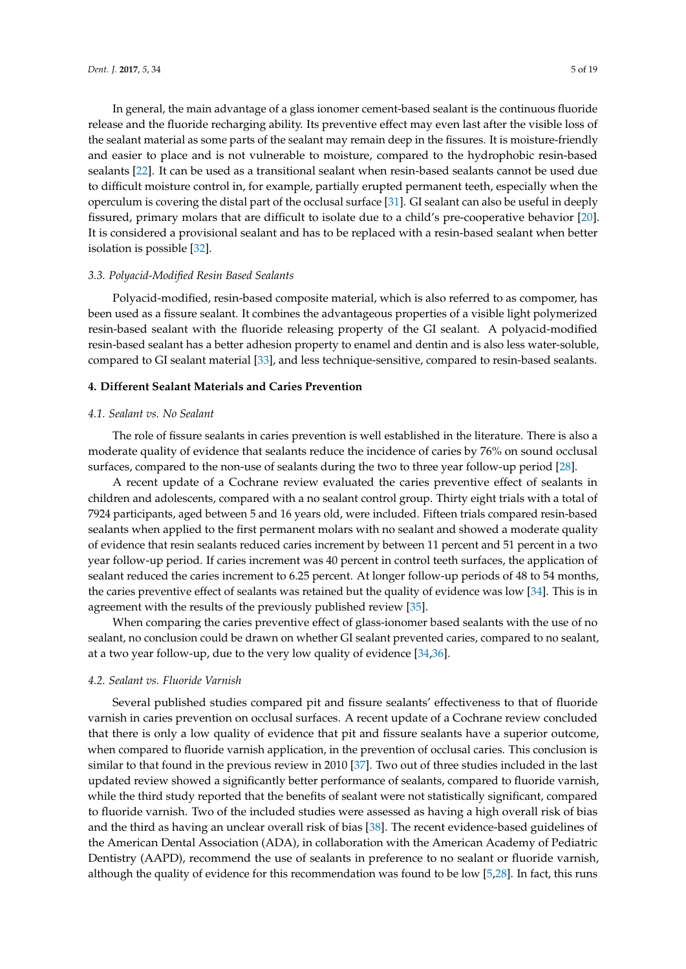In general, the main advantage of a glass ionomer cement-based sealant is the continuous fluoride release and the fluoride recharging ability. Its preventive effect may even last after the visible loss of the sealant material as some parts of the sealant may remain deep in the fissures. It is moisture-friendly and easier to place and is not vulnerable to moisture, compared to the hydrophobic resin-based sealants [\[22\]](#page-15-6). It can be used as a transitional sealant when resin-based sealants cannot be used due to difficult moisture control in, for example, partially erupted permanent teeth, especially when the operculum is covering the distal part of the occlusal surface [\[31\]](#page-15-14). GI sealant can also be useful in deeply fissured, primary molars that are difficult to isolate due to a child's pre-cooperative behavior [\[20\]](#page-15-4). It is considered a provisional sealant and has to be replaced with a resin-based sealant when better isolation is possible [\[32\]](#page-15-15).

## *3.3. Polyacid-Modified Resin Based Sealants*

Polyacid-modified, resin-based composite material, which is also referred to as compomer, has been used as a fissure sealant. It combines the advantageous properties of a visible light polymerized resin-based sealant with the fluoride releasing property of the GI sealant. A polyacid-modified resin-based sealant has a better adhesion property to enamel and dentin and is also less water-soluble, compared to GI sealant material [\[33\]](#page-15-16), and less technique-sensitive, compared to resin-based sealants.

# **4. Different Sealant Materials and Caries Prevention**

## *4.1. Sealant vs. No Sealant*

The role of fissure sealants in caries prevention is well established in the literature. There is also a moderate quality of evidence that sealants reduce the incidence of caries by 76% on sound occlusal surfaces, compared to the non-use of sealants during the two to three year follow-up period [\[28\]](#page-15-11).

A recent update of a Cochrane review evaluated the caries preventive effect of sealants in children and adolescents, compared with a no sealant control group. Thirty eight trials with a total of 7924 participants, aged between 5 and 16 years old, were included. Fifteen trials compared resin-based sealants when applied to the first permanent molars with no sealant and showed a moderate quality of evidence that resin sealants reduced caries increment by between 11 percent and 51 percent in a two year follow-up period. If caries increment was 40 percent in control teeth surfaces, the application of sealant reduced the caries increment to 6.25 percent. At longer follow-up periods of 48 to 54 months, the caries preventive effect of sealants was retained but the quality of evidence was low [\[34\]](#page-15-17). This is in agreement with the results of the previously published review [\[35\]](#page-15-18).

When comparing the caries preventive effect of glass-ionomer based sealants with the use of no sealant, no conclusion could be drawn on whether GI sealant prevented caries, compared to no sealant, at a two year follow-up, due to the very low quality of evidence [\[34,](#page-15-17)[36\]](#page-15-19).

## *4.2. Sealant vs. Fluoride Varnish*

Several published studies compared pit and fissure sealants' effectiveness to that of fluoride varnish in caries prevention on occlusal surfaces. A recent update of a Cochrane review concluded that there is only a low quality of evidence that pit and fissure sealants have a superior outcome, when compared to fluoride varnish application, in the prevention of occlusal caries. This conclusion is similar to that found in the previous review in 2010 [\[37\]](#page-15-20). Two out of three studies included in the last updated review showed a significantly better performance of sealants, compared to fluoride varnish, while the third study reported that the benefits of sealant were not statistically significant, compared to fluoride varnish. Two of the included studies were assessed as having a high overall risk of bias and the third as having an unclear overall risk of bias [\[38\]](#page-15-21). The recent evidence-based guidelines of the American Dental Association (ADA), in collaboration with the American Academy of Pediatric Dentistry (AAPD), recommend the use of sealants in preference to no sealant or fluoride varnish, although the quality of evidence for this recommendation was found to be low [\[5,](#page-14-4)[28\]](#page-15-11). In fact, this runs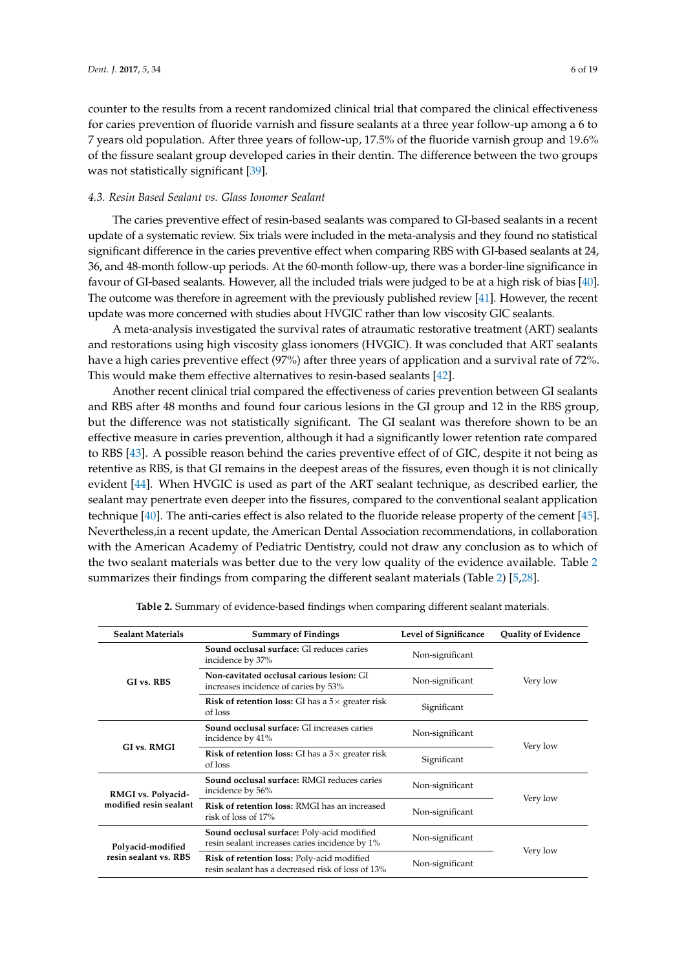counter to the results from a recent randomized clinical trial that compared the clinical effectiveness for caries prevention of fluoride varnish and fissure sealants at a three year follow-up among a 6 to 7 years old population. After three years of follow-up, 17.5% of the fluoride varnish group and 19.6% of the fissure sealant group developed caries in their dentin. The difference between the two groups was not statistically significant [\[39\]](#page-16-0).

#### *4.3. Resin Based Sealant vs. Glass Ionomer Sealant*

The caries preventive effect of resin-based sealants was compared to GI-based sealants in a recent update of a systematic review. Six trials were included in the meta-analysis and they found no statistical significant difference in the caries preventive effect when comparing RBS with GI-based sealants at 24, 36, and 48-month follow-up periods. At the 60-month follow-up, there was a border-line significance in favour of GI-based sealants. However, all the included trials were judged to be at a high risk of bias [\[40\]](#page-16-1). The outcome was therefore in agreement with the previously published review [\[41\]](#page-16-2). However, the recent update was more concerned with studies about HVGIC rather than low viscosity GIC sealants.

A meta-analysis investigated the survival rates of atraumatic restorative treatment (ART) sealants and restorations using high viscosity glass ionomers (HVGIC). It was concluded that ART sealants have a high caries preventive effect (97%) after three years of application and a survival rate of 72%. This would make them effective alternatives to resin-based sealants [\[42\]](#page-16-3).

Another recent clinical trial compared the effectiveness of caries prevention between GI sealants and RBS after 48 months and found four carious lesions in the GI group and 12 in the RBS group, but the difference was not statistically significant. The GI sealant was therefore shown to be an effective measure in caries prevention, although it had a significantly lower retention rate compared to RBS [\[43\]](#page-16-4). A possible reason behind the caries preventive effect of of GIC, despite it not being as retentive as RBS, is that GI remains in the deepest areas of the fissures, even though it is not clinically evident [\[44\]](#page-16-5). When HVGIC is used as part of the ART sealant technique, as described earlier, the sealant may penertrate even deeper into the fissures, compared to the conventional sealant application technique [\[40\]](#page-16-1). The anti-caries effect is also related to the fluoride release property of the cement [\[45\]](#page-16-6). Nevertheless,in a recent update, the American Dental Association recommendations, in collaboration with the American Academy of Pediatric Dentistry, could not draw any conclusion as to which of the two sealant materials was better due to the very low quality of the evidence available. Table [2](#page-5-0) summarizes their findings from comparing the different sealant materials (Table [2\)](#page-5-0) [\[5,](#page-14-4)[28\]](#page-15-11).

<span id="page-5-0"></span>

| <b>Sealant Materials</b>                                                   | <b>Summary of Findings</b>                                                                                                                                                                       | Level of Significance | <b>Quality of Evidence</b> |                    |
|----------------------------------------------------------------------------|--------------------------------------------------------------------------------------------------------------------------------------------------------------------------------------------------|-----------------------|----------------------------|--------------------|
| GI vs. RBS                                                                 | <b>Sound occlusal surface: GI reduces caries</b><br>incidence by 37%                                                                                                                             | Non-significant       |                            |                    |
|                                                                            | Non-cavitated occlusal carious lesion: GI<br>Non-significant<br>increases incidence of caries by 53%<br><b>Risk of retention loss:</b> GI has a $5\times$ greater risk<br>Significant<br>of loss |                       | Very low                   |                    |
|                                                                            |                                                                                                                                                                                                  |                       |                            | <b>GI vs. RMGI</b> |
| <b>Risk of retention loss:</b> GI has a $3 \times$ greater risk<br>of loss | Significant                                                                                                                                                                                      |                       |                            |                    |
| RMGI vs. Polyacid-<br>modified resin sealant                               | <b>Sound occlusal surface: RMGI reduces caries</b><br>incidence by 56%                                                                                                                           | Non-significant       |                            |                    |
|                                                                            | <b>Risk of retention loss: RMGI has an increased</b><br>risk of loss of 17%                                                                                                                      | Non-significant       | Very low                   |                    |
| Polyacid-modified<br>resin sealant vs. RBS                                 | Sound occlusal surface: Poly-acid modified<br>resin sealant increases caries incidence by 1%                                                                                                     | Non-significant       | Very low                   |                    |
|                                                                            | Risk of retention loss: Poly-acid modified<br>resin sealant has a decreased risk of loss of 13%                                                                                                  | Non-significant       |                            |                    |

**Table 2.** Summary of evidence-based findings when comparing different sealant materials.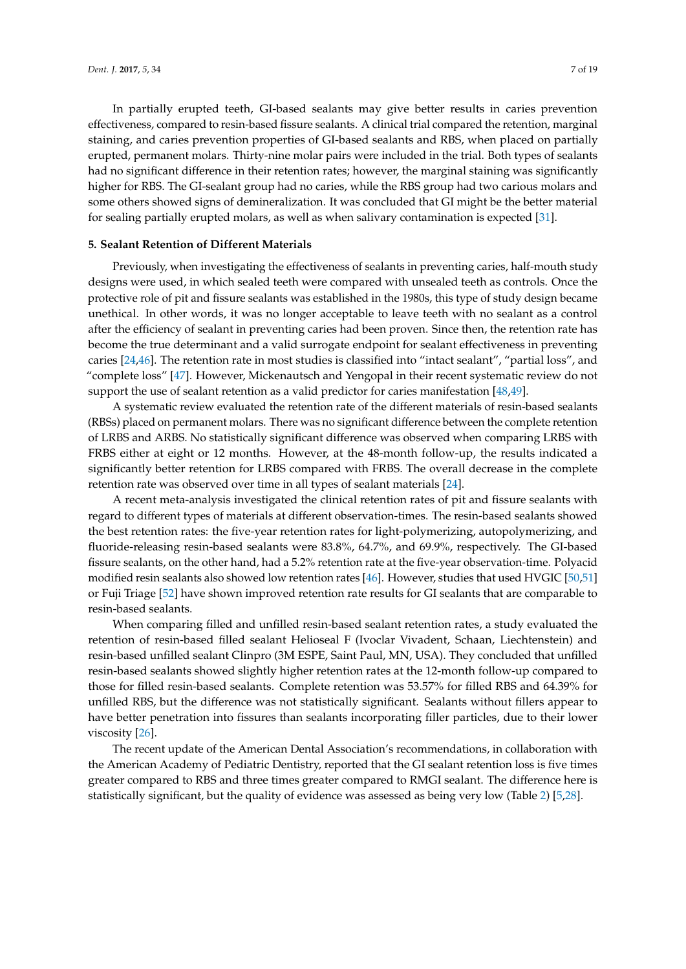In partially erupted teeth, GI-based sealants may give better results in caries prevention effectiveness, compared to resin-based fissure sealants. A clinical trial compared the retention, marginal staining, and caries prevention properties of GI-based sealants and RBS, when placed on partially erupted, permanent molars. Thirty-nine molar pairs were included in the trial. Both types of sealants

had no significant difference in their retention rates; however, the marginal staining was significantly higher for RBS. The GI-sealant group had no caries, while the RBS group had two carious molars and some others showed signs of demineralization. It was concluded that GI might be the better material for sealing partially erupted molars, as well as when salivary contamination is expected [\[31\]](#page-15-14).

# **5. Sealant Retention of Different Materials**

Previously, when investigating the effectiveness of sealants in preventing caries, half-mouth study designs were used, in which sealed teeth were compared with unsealed teeth as controls. Once the protective role of pit and fissure sealants was established in the 1980s, this type of study design became unethical. In other words, it was no longer acceptable to leave teeth with no sealant as a control after the efficiency of sealant in preventing caries had been proven. Since then, the retention rate has become the true determinant and a valid surrogate endpoint for sealant effectiveness in preventing caries [\[24](#page-15-22)[,46\]](#page-16-7). The retention rate in most studies is classified into "intact sealant", "partial loss", and "complete loss" [\[47\]](#page-16-8). However, Mickenautsch and Yengopal in their recent systematic review do not support the use of sealant retention as a valid predictor for caries manifestation [\[48](#page-16-9)[,49\]](#page-16-10).

A systematic review evaluated the retention rate of the different materials of resin-based sealants (RBSs) placed on permanent molars. There was no significant difference between the complete retention of LRBS and ARBS. No statistically significant difference was observed when comparing LRBS with FRBS either at eight or 12 months. However, at the 48-month follow-up, the results indicated a significantly better retention for LRBS compared with FRBS. The overall decrease in the complete retention rate was observed over time in all types of sealant materials [\[24\]](#page-15-22).

A recent meta-analysis investigated the clinical retention rates of pit and fissure sealants with regard to different types of materials at different observation-times. The resin-based sealants showed the best retention rates: the five-year retention rates for light-polymerizing, autopolymerizing, and fluoride-releasing resin-based sealants were 83.8%, 64.7%, and 69.9%, respectively. The GI-based fissure sealants, on the other hand, had a 5.2% retention rate at the five-year observation-time. Polyacid modified resin sealants also showed low retention rates [\[46\]](#page-16-7). However, studies that used HVGIC [\[50,](#page-16-11)[51\]](#page-16-12) or Fuji Triage [\[52\]](#page-16-13) have shown improved retention rate results for GI sealants that are comparable to resin-based sealants.

When comparing filled and unfilled resin-based sealant retention rates, a study evaluated the retention of resin-based filled sealant Helioseal F (Ivoclar Vivadent, Schaan, Liechtenstein) and resin-based unfilled sealant Clinpro (3M ESPE, Saint Paul, MN, USA). They concluded that unfilled resin-based sealants showed slightly higher retention rates at the 12-month follow-up compared to those for filled resin-based sealants. Complete retention was 53.57% for filled RBS and 64.39% for unfilled RBS, but the difference was not statistically significant. Sealants without fillers appear to have better penetration into fissures than sealants incorporating filler particles, due to their lower viscosity [\[26\]](#page-15-9).

The recent update of the American Dental Association's recommendations, in collaboration with the American Academy of Pediatric Dentistry, reported that the GI sealant retention loss is five times greater compared to RBS and three times greater compared to RMGI sealant. The difference here is statistically significant, but the quality of evidence was assessed as being very low (Table [2\)](#page-5-0) [\[5,](#page-14-4)[28\]](#page-15-11).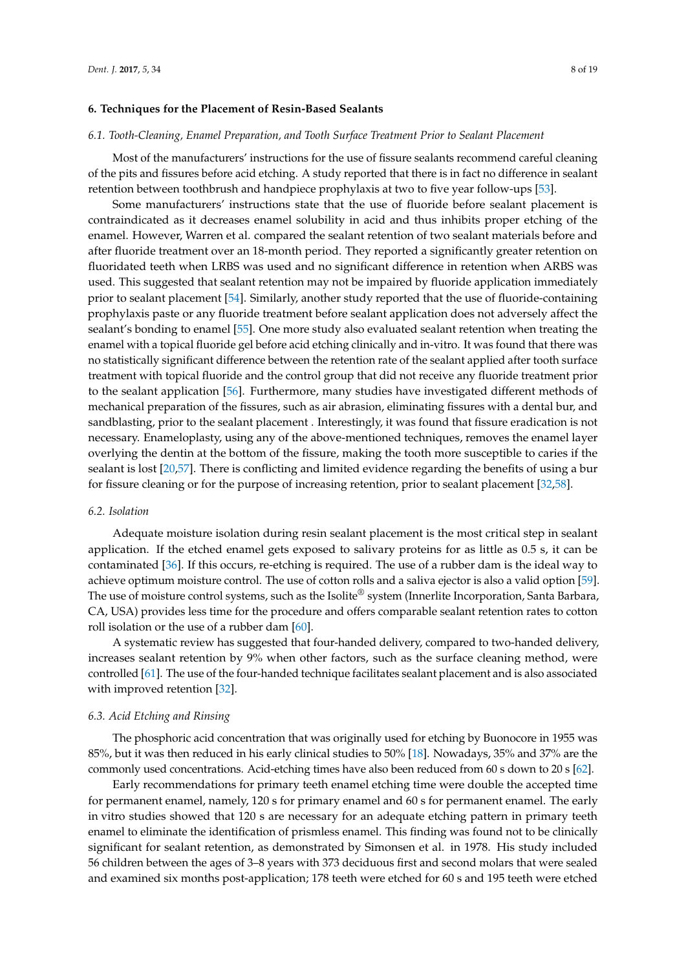#### **6. Techniques for the Placement of Resin-Based Sealants**

#### *6.1. Tooth-Cleaning, Enamel Preparation, and Tooth Surface Treatment Prior to Sealant Placement*

Most of the manufacturers' instructions for the use of fissure sealants recommend careful cleaning of the pits and fissures before acid etching. A study reported that there is in fact no difference in sealant retention between toothbrush and handpiece prophylaxis at two to five year follow-ups [\[53\]](#page-16-14).

Some manufacturers' instructions state that the use of fluoride before sealant placement is contraindicated as it decreases enamel solubility in acid and thus inhibits proper etching of the enamel. However, Warren et al. compared the sealant retention of two sealant materials before and after fluoride treatment over an 18-month period. They reported a significantly greater retention on fluoridated teeth when LRBS was used and no significant difference in retention when ARBS was used. This suggested that sealant retention may not be impaired by fluoride application immediately prior to sealant placement [\[54\]](#page-16-15). Similarly, another study reported that the use of fluoride-containing prophylaxis paste or any fluoride treatment before sealant application does not adversely affect the sealant's bonding to enamel [\[55\]](#page-16-16). One more study also evaluated sealant retention when treating the enamel with a topical fluoride gel before acid etching clinically and in-vitro. It was found that there was no statistically significant difference between the retention rate of the sealant applied after tooth surface treatment with topical fluoride and the control group that did not receive any fluoride treatment prior to the sealant application [\[56\]](#page-16-17). Furthermore, many studies have investigated different methods of mechanical preparation of the fissures, such as air abrasion, eliminating fissures with a dental bur, and sandblasting, prior to the sealant placement . Interestingly, it was found that fissure eradication is not necessary. Enameloplasty, using any of the above-mentioned techniques, removes the enamel layer overlying the dentin at the bottom of the fissure, making the tooth more susceptible to caries if the sealant is lost [\[20](#page-15-4)[,57\]](#page-16-18). There is conflicting and limited evidence regarding the benefits of using a bur for fissure cleaning or for the purpose of increasing retention, prior to sealant placement [\[32](#page-15-15)[,58\]](#page-16-19).

#### *6.2. Isolation*

Adequate moisture isolation during resin sealant placement is the most critical step in sealant application. If the etched enamel gets exposed to salivary proteins for as little as 0.5 s, it can be contaminated [\[36\]](#page-15-19). If this occurs, re-etching is required. The use of a rubber dam is the ideal way to achieve optimum moisture control. The use of cotton rolls and a saliva ejector is also a valid option [\[59\]](#page-16-20). The use of moisture control systems, such as the Isolite® system (Innerlite Incorporation, Santa Barbara, CA, USA) provides less time for the procedure and offers comparable sealant retention rates to cotton roll isolation or the use of a rubber dam [\[60\]](#page-16-21).

A systematic review has suggested that four-handed delivery, compared to two-handed delivery, increases sealant retention by 9% when other factors, such as the surface cleaning method, were controlled [\[61\]](#page-16-22). The use of the four-handed technique facilitates sealant placement and is also associated with improved retention [\[32\]](#page-15-15).

#### *6.3. Acid Etching and Rinsing*

The phosphoric acid concentration that was originally used for etching by Buonocore in 1955 was 85%, but it was then reduced in his early clinical studies to 50% [\[18\]](#page-15-2). Nowadays, 35% and 37% are the commonly used concentrations. Acid-etching times have also been reduced from 60 s down to 20 s [\[62\]](#page-17-0).

Early recommendations for primary teeth enamel etching time were double the accepted time for permanent enamel, namely, 120 s for primary enamel and 60 s for permanent enamel. The early in vitro studies showed that 120 s are necessary for an adequate etching pattern in primary teeth enamel to eliminate the identification of prismless enamel. This finding was found not to be clinically significant for sealant retention, as demonstrated by Simonsen et al. in 1978. His study included 56 children between the ages of 3–8 years with 373 deciduous first and second molars that were sealed and examined six months post-application; 178 teeth were etched for 60 s and 195 teeth were etched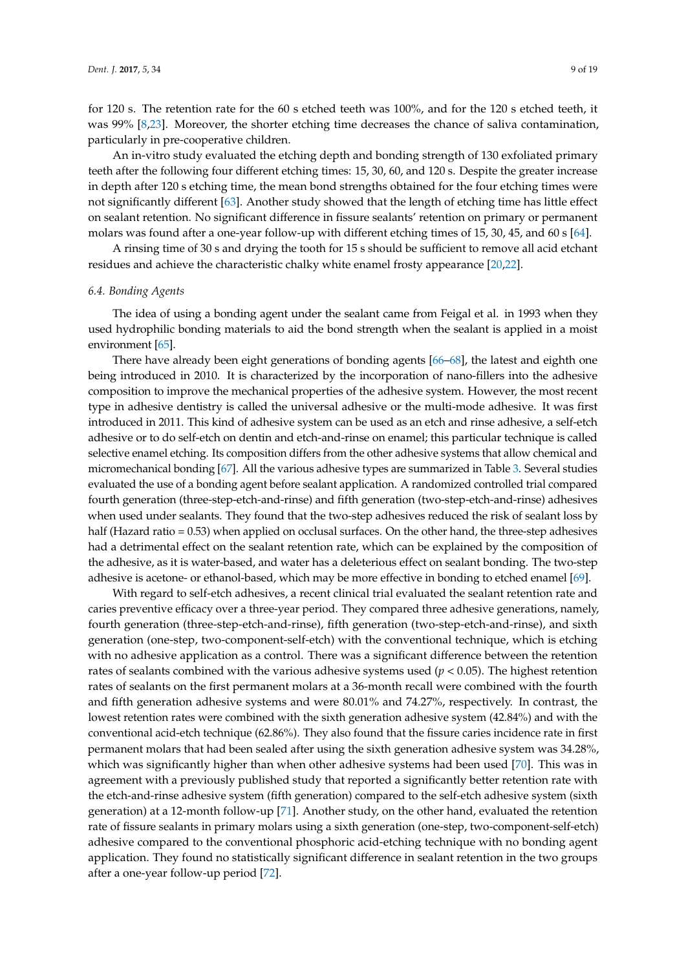for 120 s. The retention rate for the 60 s etched teeth was 100%, and for the 120 s etched teeth, it was 99% [\[8,](#page-14-7)[23\]](#page-15-7). Moreover, the shorter etching time decreases the chance of saliva contamination, particularly in pre-cooperative children.

An in-vitro study evaluated the etching depth and bonding strength of 130 exfoliated primary teeth after the following four different etching times: 15, 30, 60, and 120 s. Despite the greater increase in depth after 120 s etching time, the mean bond strengths obtained for the four etching times were not significantly different [\[63\]](#page-17-1). Another study showed that the length of etching time has little effect on sealant retention. No significant difference in fissure sealants' retention on primary or permanent molars was found after a one-year follow-up with different etching times of 15, 30, 45, and 60 s [\[64\]](#page-17-2).

A rinsing time of 30 s and drying the tooth for 15 s should be sufficient to remove all acid etchant residues and achieve the characteristic chalky white enamel frosty appearance [\[20](#page-15-4)[,22\]](#page-15-6).

#### *6.4. Bonding Agents*

The idea of using a bonding agent under the sealant came from Feigal et al. in 1993 when they used hydrophilic bonding materials to aid the bond strength when the sealant is applied in a moist environment [\[65\]](#page-17-3).

There have already been eight generations of bonding agents [\[66](#page-17-4)[–68\]](#page-17-5), the latest and eighth one being introduced in 2010. It is characterized by the incorporation of nano-fillers into the adhesive composition to improve the mechanical properties of the adhesive system. However, the most recent type in adhesive dentistry is called the universal adhesive or the multi-mode adhesive. It was first introduced in 2011. This kind of adhesive system can be used as an etch and rinse adhesive, a self-etch adhesive or to do self-etch on dentin and etch-and-rinse on enamel; this particular technique is called selective enamel etching. Its composition differs from the other adhesive systems that allow chemical and micromechanical bonding [\[67\]](#page-17-6). All the various adhesive types are summarized in Table [3.](#page-9-0) Several studies evaluated the use of a bonding agent before sealant application. A randomized controlled trial compared fourth generation (three-step-etch-and-rinse) and fifth generation (two-step-etch-and-rinse) adhesives when used under sealants. They found that the two-step adhesives reduced the risk of sealant loss by half (Hazard ratio = 0.53) when applied on occlusal surfaces. On the other hand, the three-step adhesives had a detrimental effect on the sealant retention rate, which can be explained by the composition of the adhesive, as it is water-based, and water has a deleterious effect on sealant bonding. The two-step adhesive is acetone- or ethanol-based, which may be more effective in bonding to etched enamel [\[69\]](#page-17-7).

With regard to self-etch adhesives, a recent clinical trial evaluated the sealant retention rate and caries preventive efficacy over a three-year period. They compared three adhesive generations, namely, fourth generation (three-step-etch-and-rinse), fifth generation (two-step-etch-and-rinse), and sixth generation (one-step, two-component-self-etch) with the conventional technique, which is etching with no adhesive application as a control. There was a significant difference between the retention rates of sealants combined with the various adhesive systems used ( $p < 0.05$ ). The highest retention rates of sealants on the first permanent molars at a 36-month recall were combined with the fourth and fifth generation adhesive systems and were 80.01% and 74.27%, respectively. In contrast, the lowest retention rates were combined with the sixth generation adhesive system (42.84%) and with the conventional acid-etch technique (62.86%). They also found that the fissure caries incidence rate in first permanent molars that had been sealed after using the sixth generation adhesive system was 34.28%, which was significantly higher than when other adhesive systems had been used [\[70\]](#page-17-8). This was in agreement with a previously published study that reported a significantly better retention rate with the etch-and-rinse adhesive system (fifth generation) compared to the self-etch adhesive system (sixth generation) at a 12-month follow-up [\[71\]](#page-17-9). Another study, on the other hand, evaluated the retention rate of fissure sealants in primary molars using a sixth generation (one-step, two-component-self-etch) adhesive compared to the conventional phosphoric acid-etching technique with no bonding agent application. They found no statistically significant difference in sealant retention in the two groups after a one-year follow-up period [\[72\]](#page-17-10).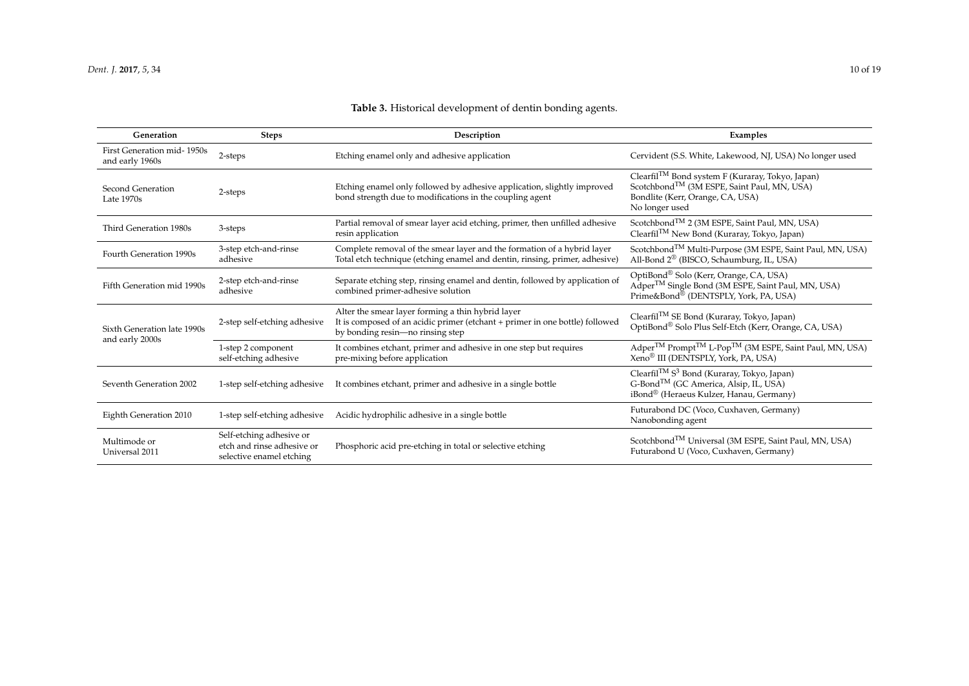# **Table 3.** Historical development of dentin bonding agents.

<span id="page-9-0"></span>

| Generation                                     | <b>Steps</b>                                                                       | Description                                                                                                                                                           | Examples                                                                                                                                                                      |
|------------------------------------------------|------------------------------------------------------------------------------------|-----------------------------------------------------------------------------------------------------------------------------------------------------------------------|-------------------------------------------------------------------------------------------------------------------------------------------------------------------------------|
| First Generation mid-1950s<br>and early 1960s  | 2-steps                                                                            | Etching enamel only and adhesive application                                                                                                                          | Cervident (S.S. White, Lakewood, NJ, USA) No longer used                                                                                                                      |
| Second Generation<br>Late 1970s                | 2-steps                                                                            | Etching enamel only followed by adhesive application, slightly improved<br>bond strength due to modifications in the coupling agent                                   | Clearfil <sup>TM</sup> Bond system F (Kuraray, Tokyo, Japan)<br>Scotchbond <sup>TM</sup> (3M ESPE, Saint Paul, MN, USA)<br>Bondlite (Kerr, Orange, CA, USA)<br>No longer used |
| Third Generation 1980s                         | 3-steps                                                                            | Partial removal of smear layer acid etching, primer, then unfilled adhesive<br>resin application                                                                      | Scotchbond <sup>TM</sup> 2 (3M ESPE, Saint Paul, MN, USA)<br>Clearfil <sup>TM</sup> New Bond (Kuraray, Tokyo, Japan)                                                          |
| Fourth Generation 1990s                        | 3-step etch-and-rinse<br>adhesive                                                  | Complete removal of the smear layer and the formation of a hybrid layer<br>Total etch technique (etching enamel and dentin, rinsing, primer, adhesive)                | Scotchbond <sup>TM</sup> Multi-Purpose (3M ESPE, Saint Paul, MN, USA)<br>All-Bond 2 <sup>®</sup> (BISCO, Schaumburg, IL, USA)                                                 |
| Fifth Generation mid 1990s                     | 2-step etch-and-rinse<br>adhesive                                                  | Separate etching step, rinsing enamel and dentin, followed by application of<br>combined primer-adhesive solution                                                     | OptiBond <sup>®</sup> Solo (Kerr, Orange, CA, USA)<br>Adper <sup>TM</sup> Single Bond (3M ESPE, Saint Paul, MN, USA)<br>Prime&Bond® (DENTSPLY, York, PA, USA)                 |
| Sixth Generation late 1990s<br>and early 2000s | 2-step self-etching adhesive                                                       | Alter the smear layer forming a thin hybrid layer<br>It is composed of an acidic primer (etchant + primer in one bottle) followed<br>by bonding resin-no rinsing step | Clearfil <sup>TM</sup> SE Bond (Kuraray, Tokyo, Japan)<br>OptiBond® Solo Plus Self-Etch (Kerr, Orange, CA, USA)                                                               |
|                                                | 1-step 2 component<br>self-etching adhesive                                        | It combines etchant, primer and adhesive in one step but requires<br>pre-mixing before application                                                                    | Adper <sup>™</sup> Prompt <sup>™</sup> L-Pop <sup>™</sup> (3M ESPE, Saint Paul, MN, USA)<br>Xeno <sup>®</sup> III (DENTSPLY, York, PA, USA)                                   |
| Seventh Generation 2002                        | 1-step self-etching adhesive                                                       | It combines etchant, primer and adhesive in a single bottle                                                                                                           | Clearfil <sup>TM</sup> S <sup>3</sup> Bond (Kuraray, Tokyo, Japan)<br>G-Bond <sup>™</sup> (GC America, Alsip, IL, USA)<br>iBond® (Heraeus Kulzer, Hanau, Germany)             |
| Eighth Generation 2010                         | 1-step self-etching adhesive                                                       | Acidic hydrophilic adhesive in a single bottle                                                                                                                        | Futurabond DC (Voco, Cuxhaven, Germany)<br>Nanobonding agent                                                                                                                  |
| Multimode or<br>Universal 2011                 | Self-etching adhesive or<br>etch and rinse adhesive or<br>selective enamel etching | Phosphoric acid pre-etching in total or selective etching                                                                                                             | Scotchbond <sup>TM</sup> Universal (3M ESPE, Saint Paul, MN, USA)<br>Futurabond U (Voco, Cuxhaven, Germany)                                                                   |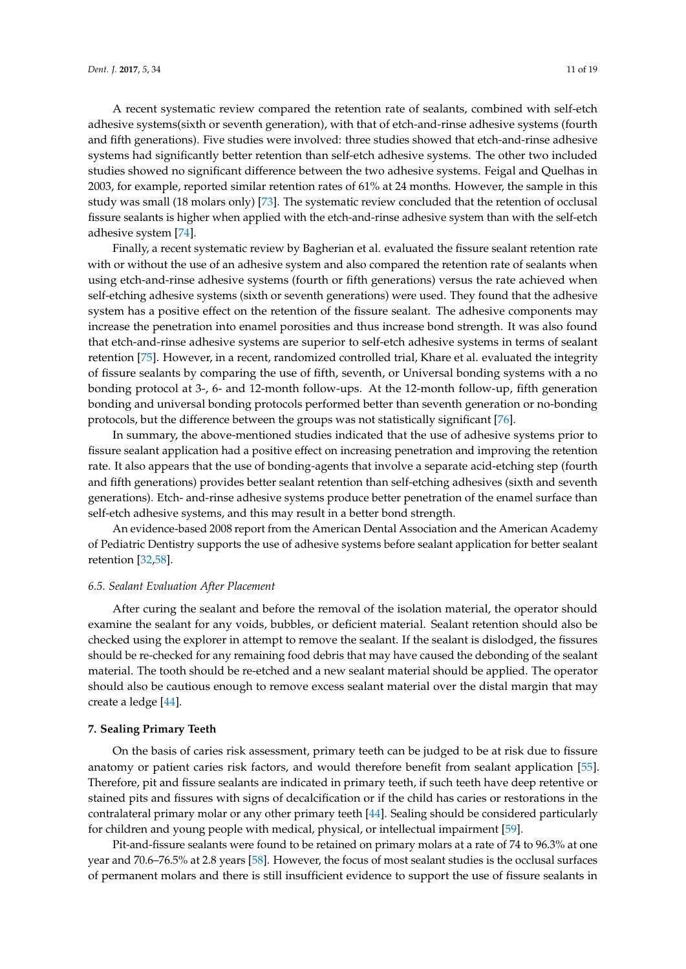A recent systematic review compared the retention rate of sealants, combined with self-etch adhesive systems(sixth or seventh generation), with that of etch-and-rinse adhesive systems (fourth and fifth generations). Five studies were involved: three studies showed that etch-and-rinse adhesive systems had significantly better retention than self-etch adhesive systems. The other two included studies showed no significant difference between the two adhesive systems. Feigal and Quelhas in 2003, for example, reported similar retention rates of 61% at 24 months. However, the sample in this study was small (18 molars only) [\[73\]](#page-17-11). The systematic review concluded that the retention of occlusal fissure sealants is higher when applied with the etch-and-rinse adhesive system than with the self-etch adhesive system [\[74\]](#page-17-12).

Finally, a recent systematic review by Bagherian et al. evaluated the fissure sealant retention rate with or without the use of an adhesive system and also compared the retention rate of sealants when using etch-and-rinse adhesive systems (fourth or fifth generations) versus the rate achieved when self-etching adhesive systems (sixth or seventh generations) were used. They found that the adhesive system has a positive effect on the retention of the fissure sealant. The adhesive components may increase the penetration into enamel porosities and thus increase bond strength. It was also found that etch-and-rinse adhesive systems are superior to self-etch adhesive systems in terms of sealant retention [\[75\]](#page-17-13). However, in a recent, randomized controlled trial, Khare et al. evaluated the integrity of fissure sealants by comparing the use of fifth, seventh, or Universal bonding systems with a no bonding protocol at 3-, 6- and 12-month follow-ups. At the 12-month follow-up, fifth generation bonding and universal bonding protocols performed better than seventh generation or no-bonding protocols, but the difference between the groups was not statistically significant [\[76\]](#page-17-14).

In summary, the above-mentioned studies indicated that the use of adhesive systems prior to fissure sealant application had a positive effect on increasing penetration and improving the retention rate. It also appears that the use of bonding-agents that involve a separate acid-etching step (fourth and fifth generations) provides better sealant retention than self-etching adhesives (sixth and seventh generations). Etch- and-rinse adhesive systems produce better penetration of the enamel surface than self-etch adhesive systems, and this may result in a better bond strength.

An evidence-based 2008 report from the American Dental Association and the American Academy of Pediatric Dentistry supports the use of adhesive systems before sealant application for better sealant retention [\[32,](#page-15-15)[58\]](#page-16-19).

#### *6.5. Sealant Evaluation After Placement*

After curing the sealant and before the removal of the isolation material, the operator should examine the sealant for any voids, bubbles, or deficient material. Sealant retention should also be checked using the explorer in attempt to remove the sealant. If the sealant is dislodged, the fissures should be re-checked for any remaining food debris that may have caused the debonding of the sealant material. The tooth should be re-etched and a new sealant material should be applied. The operator should also be cautious enough to remove excess sealant material over the distal margin that may create a ledge [\[44\]](#page-16-5).

#### **7. Sealing Primary Teeth**

On the basis of caries risk assessment, primary teeth can be judged to be at risk due to fissure anatomy or patient caries risk factors, and would therefore benefit from sealant application [\[55\]](#page-16-16). Therefore, pit and fissure sealants are indicated in primary teeth, if such teeth have deep retentive or stained pits and fissures with signs of decalcification or if the child has caries or restorations in the contralateral primary molar or any other primary teeth [\[44\]](#page-16-5). Sealing should be considered particularly for children and young people with medical, physical, or intellectual impairment [\[59\]](#page-16-20).

Pit-and-fissure sealants were found to be retained on primary molars at a rate of 74 to 96.3% at one year and 70.6–76.5% at 2.8 years [\[58\]](#page-16-19). However, the focus of most sealant studies is the occlusal surfaces of permanent molars and there is still insufficient evidence to support the use of fissure sealants in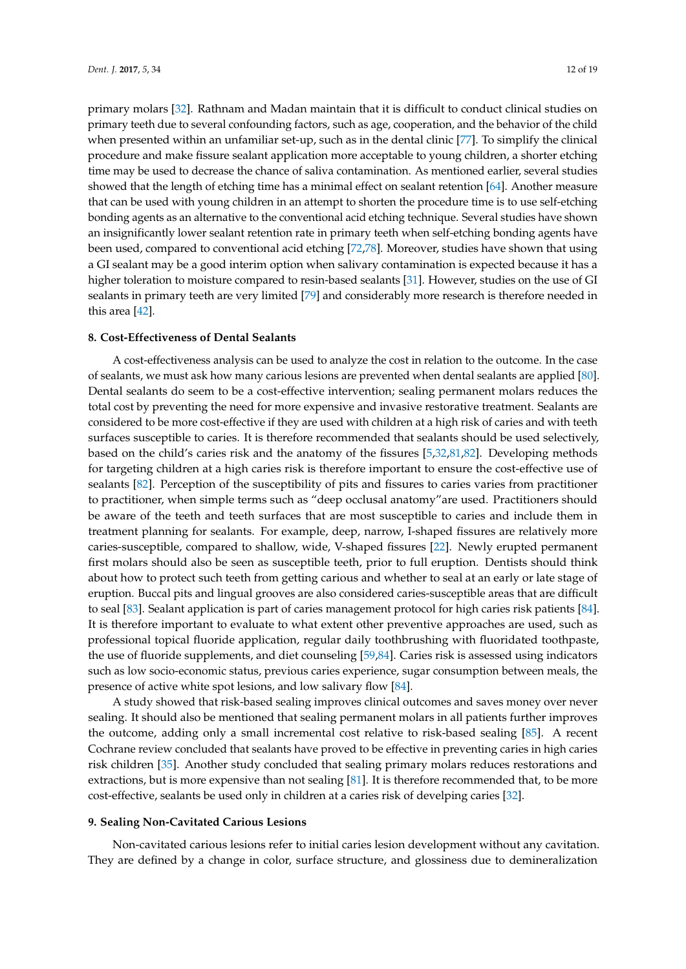primary molars [\[32\]](#page-15-15). Rathnam and Madan maintain that it is difficult to conduct clinical studies on primary teeth due to several confounding factors, such as age, cooperation, and the behavior of the child when presented within an unfamiliar set-up, such as in the dental clinic [\[77\]](#page-17-15). To simplify the clinical procedure and make fissure sealant application more acceptable to young children, a shorter etching time may be used to decrease the chance of saliva contamination. As mentioned earlier, several studies showed that the length of etching time has a minimal effect on sealant retention [\[64\]](#page-17-2). Another measure that can be used with young children in an attempt to shorten the procedure time is to use self-etching bonding agents as an alternative to the conventional acid etching technique. Several studies have shown an insignificantly lower sealant retention rate in primary teeth when self-etching bonding agents have been used, compared to conventional acid etching [\[72](#page-17-10)[,78\]](#page-17-16). Moreover, studies have shown that using a GI sealant may be a good interim option when salivary contamination is expected because it has a higher toleration to moisture compared to resin-based sealants [\[31\]](#page-15-14). However, studies on the use of GI sealants in primary teeth are very limited [\[79\]](#page-17-17) and considerably more research is therefore needed in this area [\[42\]](#page-16-3).

## **8. Cost-Effectiveness of Dental Sealants**

A cost-effectiveness analysis can be used to analyze the cost in relation to the outcome. In the case of sealants, we must ask how many carious lesions are prevented when dental sealants are applied [\[80\]](#page-17-18). Dental sealants do seem to be a cost-effective intervention; sealing permanent molars reduces the total cost by preventing the need for more expensive and invasive restorative treatment. Sealants are considered to be more cost-effective if they are used with children at a high risk of caries and with teeth surfaces susceptible to caries. It is therefore recommended that sealants should be used selectively, based on the child's caries risk and the anatomy of the fissures [\[5](#page-14-4)[,32](#page-15-15)[,81](#page-17-19)[,82\]](#page-17-20). Developing methods for targeting children at a high caries risk is therefore important to ensure the cost-effective use of sealants [\[82\]](#page-17-20). Perception of the susceptibility of pits and fissures to caries varies from practitioner to practitioner, when simple terms such as "deep occlusal anatomy"are used. Practitioners should be aware of the teeth and teeth surfaces that are most susceptible to caries and include them in treatment planning for sealants. For example, deep, narrow, I-shaped fissures are relatively more caries-susceptible, compared to shallow, wide, V-shaped fissures [\[22\]](#page-15-6). Newly erupted permanent first molars should also be seen as susceptible teeth, prior to full eruption. Dentists should think about how to protect such teeth from getting carious and whether to seal at an early or late stage of eruption. Buccal pits and lingual grooves are also considered caries-susceptible areas that are difficult to seal [\[83\]](#page-17-21). Sealant application is part of caries management protocol for high caries risk patients [\[84\]](#page-17-22). It is therefore important to evaluate to what extent other preventive approaches are used, such as professional topical fluoride application, regular daily toothbrushing with fluoridated toothpaste, the use of fluoride supplements, and diet counseling [\[59,](#page-16-20)[84\]](#page-17-22). Caries risk is assessed using indicators such as low socio-economic status, previous caries experience, sugar consumption between meals, the presence of active white spot lesions, and low salivary flow [\[84\]](#page-17-22).

A study showed that risk-based sealing improves clinical outcomes and saves money over never sealing. It should also be mentioned that sealing permanent molars in all patients further improves the outcome, adding only a small incremental cost relative to risk-based sealing [\[85\]](#page-17-23). A recent Cochrane review concluded that sealants have proved to be effective in preventing caries in high caries risk children [\[35\]](#page-15-18). Another study concluded that sealing primary molars reduces restorations and extractions, but is more expensive than not sealing [\[81\]](#page-17-19). It is therefore recommended that, to be more cost-effective, sealants be used only in children at a caries risk of develping caries [\[32\]](#page-15-15).

#### **9. Sealing Non-Cavitated Carious Lesions**

Non-cavitated carious lesions refer to initial caries lesion development without any cavitation. They are defined by a change in color, surface structure, and glossiness due to demineralization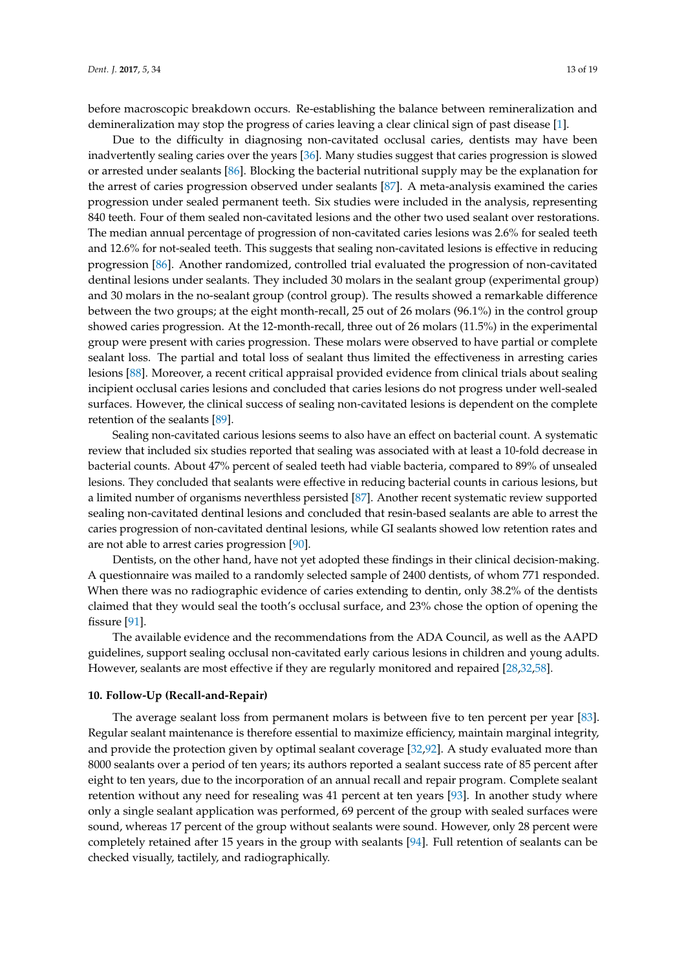before macroscopic breakdown occurs. Re-establishing the balance between remineralization and demineralization may stop the progress of caries leaving a clear clinical sign of past disease [\[1\]](#page-14-0).

Due to the difficulty in diagnosing non-cavitated occlusal caries, dentists may have been inadvertently sealing caries over the years [\[36\]](#page-15-19). Many studies suggest that caries progression is slowed or arrested under sealants [\[86\]](#page-18-0). Blocking the bacterial nutritional supply may be the explanation for the arrest of caries progression observed under sealants [\[87\]](#page-18-1). A meta-analysis examined the caries progression under sealed permanent teeth. Six studies were included in the analysis, representing 840 teeth. Four of them sealed non-cavitated lesions and the other two used sealant over restorations. The median annual percentage of progression of non-cavitated caries lesions was 2.6% for sealed teeth and 12.6% for not-sealed teeth. This suggests that sealing non-cavitated lesions is effective in reducing progression [\[86\]](#page-18-0). Another randomized, controlled trial evaluated the progression of non-cavitated dentinal lesions under sealants. They included 30 molars in the sealant group (experimental group) and 30 molars in the no-sealant group (control group). The results showed a remarkable difference between the two groups; at the eight month-recall, 25 out of 26 molars (96.1%) in the control group showed caries progression. At the 12-month-recall, three out of 26 molars (11.5%) in the experimental group were present with caries progression. These molars were observed to have partial or complete sealant loss. The partial and total loss of sealant thus limited the effectiveness in arresting caries lesions [\[88\]](#page-18-2). Moreover, a recent critical appraisal provided evidence from clinical trials about sealing incipient occlusal caries lesions and concluded that caries lesions do not progress under well-sealed surfaces. However, the clinical success of sealing non-cavitated lesions is dependent on the complete retention of the sealants [\[89\]](#page-18-3).

Sealing non-cavitated carious lesions seems to also have an effect on bacterial count. A systematic review that included six studies reported that sealing was associated with at least a 10-fold decrease in bacterial counts. About 47% percent of sealed teeth had viable bacteria, compared to 89% of unsealed lesions. They concluded that sealants were effective in reducing bacterial counts in carious lesions, but a limited number of organisms neverthless persisted [\[87\]](#page-18-1). Another recent systematic review supported sealing non-cavitated dentinal lesions and concluded that resin-based sealants are able to arrest the caries progression of non-cavitated dentinal lesions, while GI sealants showed low retention rates and are not able to arrest caries progression [\[90\]](#page-18-4).

Dentists, on the other hand, have not yet adopted these findings in their clinical decision-making. A questionnaire was mailed to a randomly selected sample of 2400 dentists, of whom 771 responded. When there was no radiographic evidence of caries extending to dentin, only 38.2% of the dentists claimed that they would seal the tooth's occlusal surface, and 23% chose the option of opening the fissure [\[91\]](#page-18-5).

The available evidence and the recommendations from the ADA Council, as well as the AAPD guidelines, support sealing occlusal non-cavitated early carious lesions in children and young adults. However, sealants are most effective if they are regularly monitored and repaired [\[28](#page-15-11)[,32](#page-15-15)[,58\]](#page-16-19).

#### **10. Follow-Up (Recall-and-Repair)**

The average sealant loss from permanent molars is between five to ten percent per year [\[83\]](#page-17-21). Regular sealant maintenance is therefore essential to maximize efficiency, maintain marginal integrity, and provide the protection given by optimal sealant coverage [\[32,](#page-15-15)[92\]](#page-18-6). A study evaluated more than 8000 sealants over a period of ten years; its authors reported a sealant success rate of 85 percent after eight to ten years, due to the incorporation of an annual recall and repair program. Complete sealant retention without any need for resealing was 41 percent at ten years [\[93\]](#page-18-7). In another study where only a single sealant application was performed, 69 percent of the group with sealed surfaces were sound, whereas 17 percent of the group without sealants were sound. However, only 28 percent were completely retained after 15 years in the group with sealants [\[94\]](#page-18-8). Full retention of sealants can be checked visually, tactilely, and radiographically.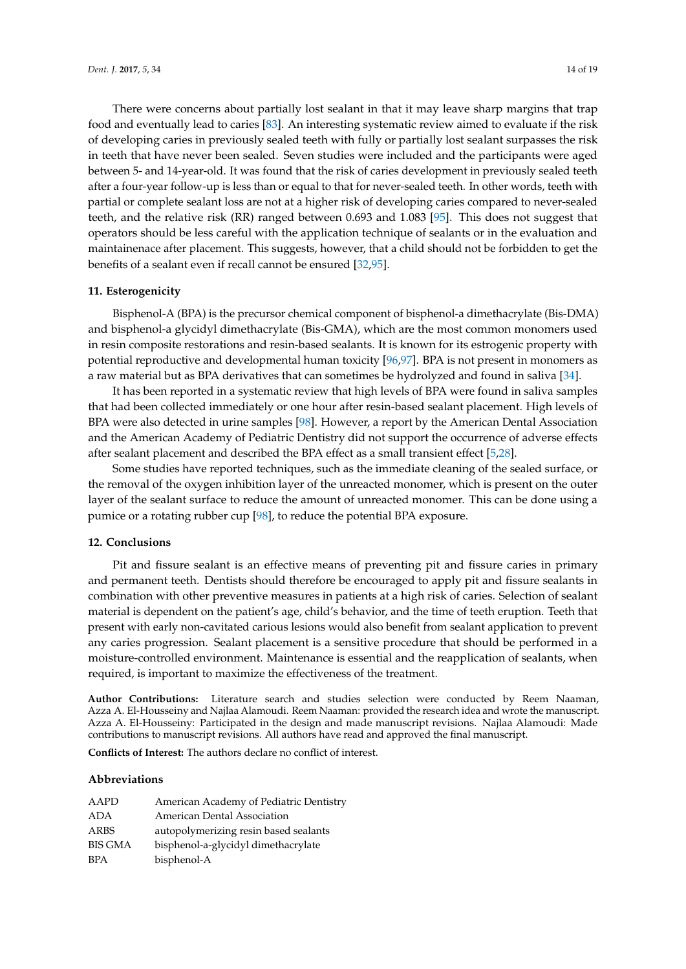There were concerns about partially lost sealant in that it may leave sharp margins that trap food and eventually lead to caries [\[83\]](#page-17-21). An interesting systematic review aimed to evaluate if the risk of developing caries in previously sealed teeth with fully or partially lost sealant surpasses the risk in teeth that have never been sealed. Seven studies were included and the participants were aged between 5- and 14-year-old. It was found that the risk of caries development in previously sealed teeth after a four-year follow-up is less than or equal to that for never-sealed teeth. In other words, teeth with partial or complete sealant loss are not at a higher risk of developing caries compared to never-sealed teeth, and the relative risk (RR) ranged between 0.693 and 1.083 [\[95\]](#page-18-9). This does not suggest that operators should be less careful with the application technique of sealants or in the evaluation and maintainenace after placement. This suggests, however, that a child should not be forbidden to get the benefits of a sealant even if recall cannot be ensured [\[32,](#page-15-15)[95\]](#page-18-9).

#### **11. Esterogenicity**

Bisphenol-A (BPA) is the precursor chemical component of bisphenol-a dimethacrylate (Bis-DMA) and bisphenol-a glycidyl dimethacrylate (Bis-GMA), which are the most common monomers used in resin composite restorations and resin-based sealants. It is known for its estrogenic property with potential reproductive and developmental human toxicity [\[96](#page-18-10)[,97\]](#page-18-11). BPA is not present in monomers as a raw material but as BPA derivatives that can sometimes be hydrolyzed and found in saliva [\[34\]](#page-15-17).

It has been reported in a systematic review that high levels of BPA were found in saliva samples that had been collected immediately or one hour after resin-based sealant placement. High levels of BPA were also detected in urine samples [\[98\]](#page-18-12). However, a report by the American Dental Association and the American Academy of Pediatric Dentistry did not support the occurrence of adverse effects after sealant placement and described the BPA effect as a small transient effect [\[5,](#page-14-4)[28\]](#page-15-11).

Some studies have reported techniques, such as the immediate cleaning of the sealed surface, or the removal of the oxygen inhibition layer of the unreacted monomer, which is present on the outer layer of the sealant surface to reduce the amount of unreacted monomer. This can be done using a pumice or a rotating rubber cup [\[98\]](#page-18-12), to reduce the potential BPA exposure.

#### **12. Conclusions**

Pit and fissure sealant is an effective means of preventing pit and fissure caries in primary and permanent teeth. Dentists should therefore be encouraged to apply pit and fissure sealants in combination with other preventive measures in patients at a high risk of caries. Selection of sealant material is dependent on the patient's age, child's behavior, and the time of teeth eruption. Teeth that present with early non-cavitated carious lesions would also benefit from sealant application to prevent any caries progression. Sealant placement is a sensitive procedure that should be performed in a moisture-controlled environment. Maintenance is essential and the reapplication of sealants, when required, is important to maximize the effectiveness of the treatment.

**Author Contributions:** Literature search and studies selection were conducted by Reem Naaman, Azza A. El-Housseiny and Najlaa Alamoudi. Reem Naaman: provided the research idea and wrote the manuscript. Azza A. El-Housseiny: Participated in the design and made manuscript revisions. Najlaa Alamoudi: Made contributions to manuscript revisions. All authors have read and approved the final manuscript.

**Conflicts of Interest:** The authors declare no conflict of interest.

#### **Abbreviations**

| AAPD           | American Academy of Pediatric Dentistry |
|----------------|-----------------------------------------|
| <b>ADA</b>     | American Dental Association             |
| ARBS           | autopolymerizing resin based sealants   |
| <b>BIS GMA</b> | bisphenol-a-glycidyl dimethacrylate     |
| <b>BPA</b>     | bisphenol-A                             |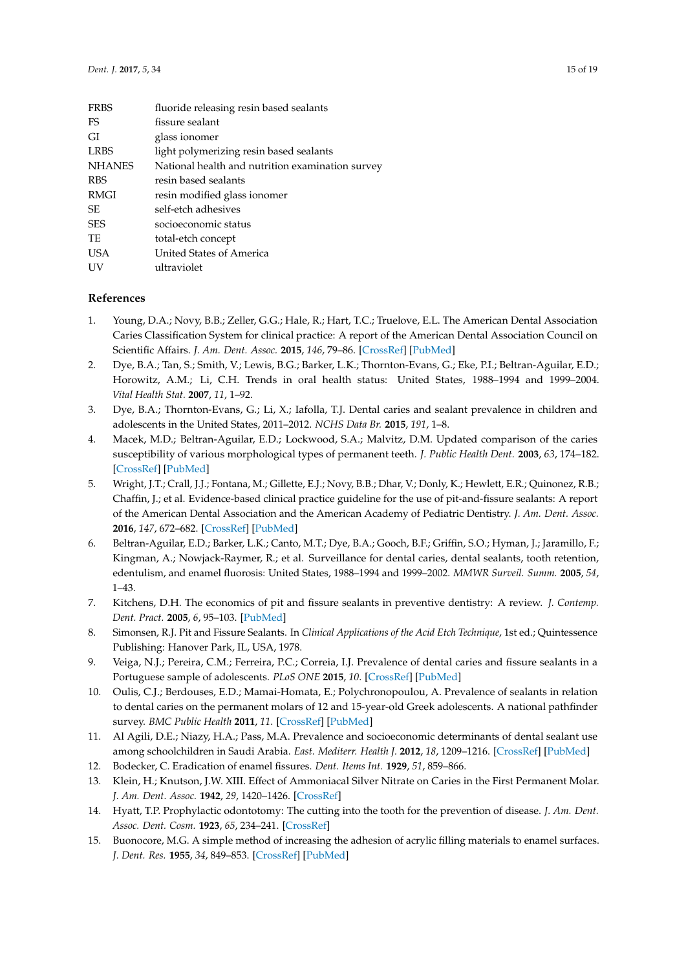| <b>FRBS</b>   | fluoride releasing resin based sealants          |
|---------------|--------------------------------------------------|
| FS            | fissure sealant                                  |
| GI            | glass ionomer                                    |
| <b>LRBS</b>   | light polymerizing resin based sealants          |
| <b>NHANES</b> | National health and nutrition examination survey |
| <b>RBS</b>    | resin based sealants                             |
| RMGI          | resin modified glass ionomer                     |
| SЕ            | self-etch adhesives                              |
| <b>SES</b>    | socioeconomic status                             |
| TE            | total-etch concept                               |
| <b>USA</b>    | United States of America                         |
| UV            | ultraviolet                                      |
|               |                                                  |

# **References**

- <span id="page-14-0"></span>1. Young, D.A.; Novy, B.B.; Zeller, G.G.; Hale, R.; Hart, T.C.; Truelove, E.L. The American Dental Association Caries Classification System for clinical practice: A report of the American Dental Association Council on Scientific Affairs. *J. Am. Dent. Assoc.* **2015**, *146*, 79–86. [\[CrossRef\]](http://dx.doi.org/10.1016/j.adaj.2014.11.018) [\[PubMed\]](http://www.ncbi.nlm.nih.gov/pubmed/25637205)
- <span id="page-14-1"></span>2. Dye, B.A.; Tan, S.; Smith, V.; Lewis, B.G.; Barker, L.K.; Thornton-Evans, G.; Eke, P.I.; Beltran-Aguilar, E.D.; Horowitz, A.M.; Li, C.H. Trends in oral health status: United States, 1988–1994 and 1999–2004. *Vital Health Stat.* **2007**, *11*, 1–92.
- <span id="page-14-2"></span>3. Dye, B.A.; Thornton-Evans, G.; Li, X.; Iafolla, T.J. Dental caries and sealant prevalence in children and adolescents in the United States, 2011–2012. *NCHS Data Br.* **2015**, *191*, 1–8.
- <span id="page-14-3"></span>4. Macek, M.D.; Beltran-Aguilar, E.D.; Lockwood, S.A.; Malvitz, D.M. Updated comparison of the caries susceptibility of various morphological types of permanent teeth. *J. Public Health Dent.* **2003**, *63*, 174–182. [\[CrossRef\]](http://dx.doi.org/10.1111/j.1752-7325.2003.tb03496.x) [\[PubMed\]](http://www.ncbi.nlm.nih.gov/pubmed/12962471)
- <span id="page-14-4"></span>5. Wright, J.T.; Crall, J.J.; Fontana, M.; Gillette, E.J.; Novy, B.B.; Dhar, V.; Donly, K.; Hewlett, E.R.; Quinonez, R.B.; Chaffin, J.; et al. Evidence-based clinical practice guideline for the use of pit-and-fissure sealants: A report of the American Dental Association and the American Academy of Pediatric Dentistry. *J. Am. Dent. Assoc.* **2016**, *147*, 672–682. [\[CrossRef\]](http://dx.doi.org/10.1016/j.adaj.2016.06.001) [\[PubMed\]](http://www.ncbi.nlm.nih.gov/pubmed/27470525)
- <span id="page-14-5"></span>6. Beltran-Aguilar, E.D.; Barker, L.K.; Canto, M.T.; Dye, B.A.; Gooch, B.F.; Griffin, S.O.; Hyman, J.; Jaramillo, F.; Kingman, A.; Nowjack-Raymer, R.; et al. Surveillance for dental caries, dental sealants, tooth retention, edentulism, and enamel fluorosis: United States, 1988–1994 and 1999–2002. *MMWR Surveil. Summ.* **2005**, *54*, 1–43.
- <span id="page-14-6"></span>7. Kitchens, D.H. The economics of pit and fissure sealants in preventive dentistry: A review. *J. Contemp. Dent. Pract.* **2005**, *6*, 95–103. [\[PubMed\]](http://www.ncbi.nlm.nih.gov/pubmed/16127477)
- <span id="page-14-7"></span>8. Simonsen, R.J. Pit and Fissure Sealants. In *Clinical Applications of the Acid Etch Technique*, 1st ed.; Quintessence Publishing: Hanover Park, IL, USA, 1978.
- <span id="page-14-8"></span>9. Veiga, N.J.; Pereira, C.M.; Ferreira, P.C.; Correia, I.J. Prevalence of dental caries and fissure sealants in a Portuguese sample of adolescents. *PLoS ONE* **2015**, *10*. [\[CrossRef\]](http://dx.doi.org/10.1371/journal.pone.0121299) [\[PubMed\]](http://www.ncbi.nlm.nih.gov/pubmed/25803849)
- <span id="page-14-9"></span>10. Oulis, C.J.; Berdouses, E.D.; Mamai-Homata, E.; Polychronopoulou, A. Prevalence of sealants in relation to dental caries on the permanent molars of 12 and 15-year-old Greek adolescents. A national pathfinder survey. *BMC Public Health* **2011**, *11*. [\[CrossRef\]](http://dx.doi.org/10.1186/1471-2458-11-100) [\[PubMed\]](http://www.ncbi.nlm.nih.gov/pubmed/21320343)
- <span id="page-14-10"></span>11. Al Agili, D.E.; Niazy, H.A.; Pass, M.A. Prevalence and socioeconomic determinants of dental sealant use among schoolchildren in Saudi Arabia. *East. Mediterr. Health J.* **2012**, *18*, 1209–1216. [\[CrossRef\]](http://dx.doi.org/10.26719/2012.18.12.1209) [\[PubMed\]](http://www.ncbi.nlm.nih.gov/pubmed/23301395)
- <span id="page-14-11"></span>12. Bodecker, C. Eradication of enamel fissures. *Dent. Items Int.* **1929**, *51*, 859–866.
- <span id="page-14-12"></span>13. Klein, H.; Knutson, J.W. XIII. Effect of Ammoniacal Silver Nitrate on Caries in the First Permanent Molar. *J. Am. Dent. Assoc.* **1942**, *29*, 1420–1426. [\[CrossRef\]](http://dx.doi.org/10.14219/jada.archive.1942.0211)
- <span id="page-14-13"></span>14. Hyatt, T.P. Prophylactic odontotomy: The cutting into the tooth for the prevention of disease. *J. Am. Dent. Assoc. Dent. Cosm.* **1923**, *65*, 234–241. [\[CrossRef\]](http://dx.doi.org/10.1177/00220345240060040301)
- <span id="page-14-14"></span>15. Buonocore, M.G. A simple method of increasing the adhesion of acrylic filling materials to enamel surfaces. *J. Dent. Res.* **1955**, *34*, 849–853. [\[CrossRef\]](http://dx.doi.org/10.1177/00220345550340060801) [\[PubMed\]](http://www.ncbi.nlm.nih.gov/pubmed/13271655)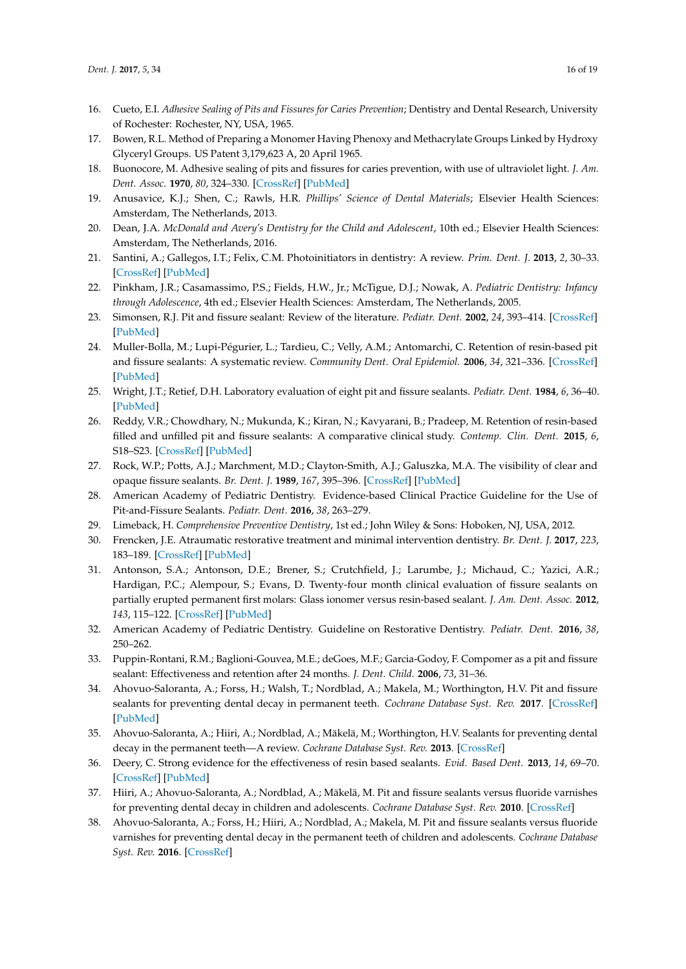- <span id="page-15-0"></span>16. Cueto, E.I. *Adhesive Sealing of Pits and Fissures for Caries Prevention*; Dentistry and Dental Research, University of Rochester: Rochester, NY, USA, 1965.
- <span id="page-15-1"></span>17. Bowen, R.L. Method of Preparing a Monomer Having Phenoxy and Methacrylate Groups Linked by Hydroxy Glyceryl Groups. US Patent 3,179,623 A, 20 April 1965.
- <span id="page-15-2"></span>18. Buonocore, M. Adhesive sealing of pits and fissures for caries prevention, with use of ultraviolet light. *J. Am. Dent. Assoc.* **1970**, *80*, 324–330. [\[CrossRef\]](http://dx.doi.org/10.14219/jada.archive.1970.0061) [\[PubMed\]](http://www.ncbi.nlm.nih.gov/pubmed/5262374)
- <span id="page-15-3"></span>19. Anusavice, K.J.; Shen, C.; Rawls, H.R. *Phillips' Science of Dental Materials*; Elsevier Health Sciences: Amsterdam, The Netherlands, 2013.
- <span id="page-15-4"></span>20. Dean, J.A. *McDonald and Avery's Dentistry for the Child and Adolescent*, 10th ed.; Elsevier Health Sciences: Amsterdam, The Netherlands, 2016.
- <span id="page-15-5"></span>21. Santini, A.; Gallegos, I.T.; Felix, C.M. Photoinitiators in dentistry: A review. *Prim. Dent. J.* **2013**, *2*, 30–33. [\[CrossRef\]](http://dx.doi.org/10.1308/205016814809859563) [\[PubMed\]](http://www.ncbi.nlm.nih.gov/pubmed/24466621)
- <span id="page-15-6"></span>22. Pinkham, J.R.; Casamassimo, P.S.; Fields, H.W., Jr.; McTigue, D.J.; Nowak, A. *Pediatric Dentistry: Infancy through Adolescence*, 4th ed.; Elsevier Health Sciences: Amsterdam, The Netherlands, 2005.
- <span id="page-15-7"></span>23. Simonsen, R.J. Pit and fissure sealant: Review of the literature. *Pediatr. Dent.* **2002**, *24*, 393–414. [\[CrossRef\]](http://dx.doi.org/10.14219/jada.archive.1985.0331) [\[PubMed\]](http://www.ncbi.nlm.nih.gov/pubmed/12412954)
- <span id="page-15-22"></span>24. Muller-Bolla, M.; Lupi-Pégurier, L.; Tardieu, C.; Velly, A.M.; Antomarchi, C. Retention of resin-based pit and fissure sealants: A systematic review. *Community Dent. Oral Epidemiol.* **2006**, *34*, 321–336. [\[CrossRef\]](http://dx.doi.org/10.1111/j.1600-0528.2006.00319.x) [\[PubMed\]](http://www.ncbi.nlm.nih.gov/pubmed/16948671)
- <span id="page-15-8"></span>25. Wright, J.T.; Retief, D.H. Laboratory evaluation of eight pit and fissure sealants. *Pediatr. Dent.* **1984**, *6*, 36–40. [\[PubMed\]](http://www.ncbi.nlm.nih.gov/pubmed/6384943)
- <span id="page-15-9"></span>26. Reddy, V.R.; Chowdhary, N.; Mukunda, K.; Kiran, N.; Kavyarani, B.; Pradeep, M. Retention of resin-based filled and unfilled pit and fissure sealants: A comparative clinical study. *Contemp. Clin. Dent.* **2015**, *6*, S18–S23. [\[CrossRef\]](http://dx.doi.org/10.4103/0976-237X.152932) [\[PubMed\]](http://www.ncbi.nlm.nih.gov/pubmed/25821368)
- <span id="page-15-10"></span>27. Rock, W.P.; Potts, A.J.; Marchment, M.D.; Clayton-Smith, A.J.; Galuszka, M.A. The visibility of clear and opaque fissure sealants. *Br. Dent. J.* **1989**, *167*, 395–396. [\[CrossRef\]](http://dx.doi.org/10.1038/sj.bdj.4807037) [\[PubMed\]](http://www.ncbi.nlm.nih.gov/pubmed/2532034)
- <span id="page-15-11"></span>28. American Academy of Pediatric Dentistry. Evidence-based Clinical Practice Guideline for the Use of Pit-and-Fissure Sealants. *Pediatr. Dent.* **2016**, *38*, 263–279.
- <span id="page-15-13"></span><span id="page-15-12"></span>29. Limeback, H. *Comprehensive Preventive Dentistry*, 1st ed.; John Wiley & Sons: Hoboken, NJ, USA, 2012.
- 30. Frencken, J.E. Atraumatic restorative treatment and minimal intervention dentistry. *Br. Dent. J.* **2017**, *223*, 183–189. [\[CrossRef\]](http://dx.doi.org/10.1038/sj.bdj.2017.664) [\[PubMed\]](http://www.ncbi.nlm.nih.gov/pubmed/28798450)
- <span id="page-15-14"></span>31. Antonson, S.A.; Antonson, D.E.; Brener, S.; Crutchfield, J.; Larumbe, J.; Michaud, C.; Yazici, A.R.; Hardigan, P.C.; Alempour, S.; Evans, D. Twenty-four month clinical evaluation of fissure sealants on partially erupted permanent first molars: Glass ionomer versus resin-based sealant. *J. Am. Dent. Assoc.* **2012**, *143*, 115–122. [\[CrossRef\]](http://dx.doi.org/10.14219/jada.archive.2012.0121) [\[PubMed\]](http://www.ncbi.nlm.nih.gov/pubmed/22298552)
- <span id="page-15-15"></span>32. American Academy of Pediatric Dentistry. Guideline on Restorative Dentistry. *Pediatr. Dent.* **2016**, *38*, 250–262.
- <span id="page-15-16"></span>33. Puppin-Rontani, R.M.; Baglioni-Gouvea, M.E.; deGoes, M.F.; Garcia-Godoy, F. Compomer as a pit and fissure sealant: Effectiveness and retention after 24 months. *J. Dent. Child.* **2006**, *73*, 31–36.
- <span id="page-15-17"></span>34. Ahovuo-Saloranta, A.; Forss, H.; Walsh, T.; Nordblad, A.; Makela, M.; Worthington, H.V. Pit and fissure sealants for preventing dental decay in permanent teeth. *Cochrane Database Syst. Rev.* **2017**. [\[CrossRef\]](http://dx.doi.org/10.1002/14651858.CD001830.pub5) [\[PubMed\]](http://www.ncbi.nlm.nih.gov/pubmed/28759120)
- <span id="page-15-18"></span>35. Ahovuo-Saloranta, A.; Hiiri, A.; Nordblad, A.; Mäkelä, M.; Worthington, H.V. Sealants for preventing dental decay in the permanent teeth—A review. *Cochrane Database Syst. Rev.* **2013**. [\[CrossRef\]](http://dx.doi.org/10.1002/14651858.CD001830.pub4)
- <span id="page-15-19"></span>36. Deery, C. Strong evidence for the effectiveness of resin based sealants. *Evid. Based Dent.* **2013**, *14*, 69–70. [\[CrossRef\]](http://dx.doi.org/10.1038/sj.ebd.6400945) [\[PubMed\]](http://www.ncbi.nlm.nih.gov/pubmed/24071670)
- <span id="page-15-20"></span>37. Hiiri, A.; Ahovuo-Saloranta, A.; Nordblad, A.; Mäkelä, M. Pit and fissure sealants versus fluoride varnishes for preventing dental decay in children and adolescents. *Cochrane Database Syst. Rev.* **2010**. [\[CrossRef\]](http://dx.doi.org/10.1002/14651858.CD003067.pub3)
- <span id="page-15-21"></span>38. Ahovuo-Saloranta, A.; Forss, H.; Hiiri, A.; Nordblad, A.; Makela, M. Pit and fissure sealants versus fluoride varnishes for preventing dental decay in the permanent teeth of children and adolescents. *Cochrane Database Syst. Rev.* **2016**. [\[CrossRef\]](http://dx.doi.org/10.1002/14651858.CD003067.pub4)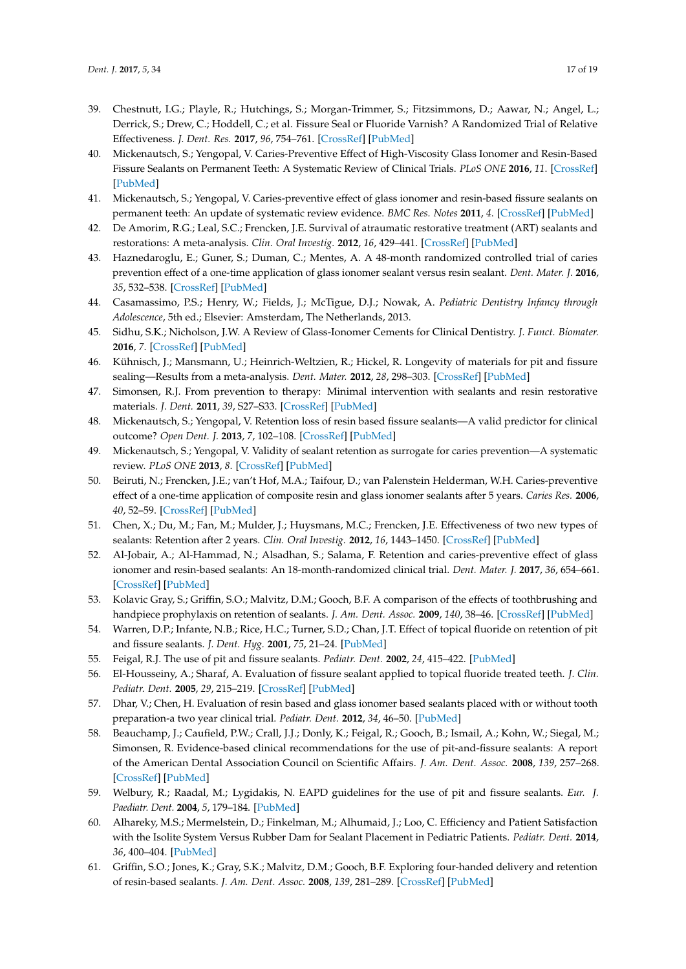- <span id="page-16-0"></span>39. Chestnutt, I.G.; Playle, R.; Hutchings, S.; Morgan-Trimmer, S.; Fitzsimmons, D.; Aawar, N.; Angel, L.; Derrick, S.; Drew, C.; Hoddell, C.; et al. Fissure Seal or Fluoride Varnish? A Randomized Trial of Relative Effectiveness. *J. Dent. Res.* **2017**, *96*, 754–761. [\[CrossRef\]](http://dx.doi.org/10.1177/0022034517702094) [\[PubMed\]](http://www.ncbi.nlm.nih.gov/pubmed/28394709)
- <span id="page-16-1"></span>40. Mickenautsch, S.; Yengopal, V. Caries-Preventive Effect of High-Viscosity Glass Ionomer and Resin-Based Fissure Sealants on Permanent Teeth: A Systematic Review of Clinical Trials. *PLoS ONE* **2016**, *11*. [\[CrossRef\]](http://dx.doi.org/10.1371/journal.pone.0146512) [\[PubMed\]](http://www.ncbi.nlm.nih.gov/pubmed/26799812)
- <span id="page-16-2"></span>41. Mickenautsch, S.; Yengopal, V. Caries-preventive effect of glass ionomer and resin-based fissure sealants on permanent teeth: An update of systematic review evidence. *BMC Res. Notes* **2011**, *4*. [\[CrossRef\]](http://dx.doi.org/10.1186/1756-0500-4-22) [\[PubMed\]](http://www.ncbi.nlm.nih.gov/pubmed/21276215)
- <span id="page-16-3"></span>42. De Amorim, R.G.; Leal, S.C.; Frencken, J.E. Survival of atraumatic restorative treatment (ART) sealants and restorations: A meta-analysis. *Clin. Oral Investig.* **2012**, *16*, 429–441. [\[CrossRef\]](http://dx.doi.org/10.1007/s00784-011-0513-3) [\[PubMed\]](http://www.ncbi.nlm.nih.gov/pubmed/21274581)
- <span id="page-16-4"></span>43. Haznedaroglu, E.; Guner, S.; Duman, C.; Mentes, A. A 48-month randomized controlled trial of caries prevention effect of a one-time application of glass ionomer sealant versus resin sealant. *Dent. Mater. J.* **2016**, *35*, 532–538. [\[CrossRef\]](http://dx.doi.org/10.4012/dmj.2016-084) [\[PubMed\]](http://www.ncbi.nlm.nih.gov/pubmed/27086573)
- <span id="page-16-5"></span>44. Casamassimo, P.S.; Henry, W.; Fields, J.; McTigue, D.J.; Nowak, A. *Pediatric Dentistry Infancy through Adolescence*, 5th ed.; Elsevier: Amsterdam, The Netherlands, 2013.
- <span id="page-16-6"></span>45. Sidhu, S.K.; Nicholson, J.W. A Review of Glass-Ionomer Cements for Clinical Dentistry. *J. Funct. Biomater.* **2016**, *7*. [\[CrossRef\]](http://dx.doi.org/10.3390/jfb7030016) [\[PubMed\]](http://www.ncbi.nlm.nih.gov/pubmed/27367737)
- <span id="page-16-7"></span>46. Kühnisch, J.; Mansmann, U.; Heinrich-Weltzien, R.; Hickel, R. Longevity of materials for pit and fissure sealing—Results from a meta-analysis. *Dent. Mater.* **2012**, *28*, 298–303. [\[CrossRef\]](http://dx.doi.org/10.1016/j.dental.2011.11.002) [\[PubMed\]](http://www.ncbi.nlm.nih.gov/pubmed/22137936)
- <span id="page-16-8"></span>47. Simonsen, R.J. From prevention to therapy: Minimal intervention with sealants and resin restorative materials. *J. Dent.* **2011**, *39*, S27–S33. [\[CrossRef\]](http://dx.doi.org/10.1016/j.jdent.2011.11.001) [\[PubMed\]](http://www.ncbi.nlm.nih.gov/pubmed/22094323)
- <span id="page-16-9"></span>48. Mickenautsch, S.; Yengopal, V. Retention loss of resin based fissure sealants—A valid predictor for clinical outcome? *Open Dent. J.* **2013**, *7*, 102–108. [\[CrossRef\]](http://dx.doi.org/10.2174/18742106201305130001) [\[PubMed\]](http://www.ncbi.nlm.nih.gov/pubmed/24078856)
- <span id="page-16-10"></span>49. Mickenautsch, S.; Yengopal, V. Validity of sealant retention as surrogate for caries prevention—A systematic review. *PLoS ONE* **2013**, *8*. [\[CrossRef\]](http://dx.doi.org/10.1371/journal.pone.0077103) [\[PubMed\]](http://www.ncbi.nlm.nih.gov/pubmed/24194861)
- <span id="page-16-11"></span>50. Beiruti, N.; Frencken, J.E.; van't Hof, M.A.; Taifour, D.; van Palenstein Helderman, W.H. Caries-preventive effect of a one-time application of composite resin and glass ionomer sealants after 5 years. *Caries Res.* **2006**, *40*, 52–59. [\[CrossRef\]](http://dx.doi.org/10.1159/000088907) [\[PubMed\]](http://www.ncbi.nlm.nih.gov/pubmed/16352882)
- <span id="page-16-12"></span>51. Chen, X.; Du, M.; Fan, M.; Mulder, J.; Huysmans, M.C.; Frencken, J.E. Effectiveness of two new types of sealants: Retention after 2 years. *Clin. Oral Investig.* **2012**, *16*, 1443–1450. [\[CrossRef\]](http://dx.doi.org/10.1007/s00784-011-0633-9) [\[PubMed\]](http://www.ncbi.nlm.nih.gov/pubmed/22124610)
- <span id="page-16-13"></span>52. Al-Jobair, A.; Al-Hammad, N.; Alsadhan, S.; Salama, F. Retention and caries-preventive effect of glass ionomer and resin-based sealants: An 18-month-randomized clinical trial. *Dent. Mater. J.* **2017**, *36*, 654–661. [\[CrossRef\]](http://dx.doi.org/10.4012/dmj.2016-225) [\[PubMed\]](http://www.ncbi.nlm.nih.gov/pubmed/28701637)
- <span id="page-16-14"></span>53. Kolavic Gray, S.; Griffin, S.O.; Malvitz, D.M.; Gooch, B.F. A comparison of the effects of toothbrushing and handpiece prophylaxis on retention of sealants. *J. Am. Dent. Assoc.* **2009**, *140*, 38–46. [\[CrossRef\]](http://dx.doi.org/10.14219/jada.archive.2009.0016) [\[PubMed\]](http://www.ncbi.nlm.nih.gov/pubmed/19119165)
- <span id="page-16-15"></span>54. Warren, D.P.; Infante, N.B.; Rice, H.C.; Turner, S.D.; Chan, J.T. Effect of topical fluoride on retention of pit and fissure sealants. *J. Dent. Hyg.* **2001**, *75*, 21–24. [\[PubMed\]](http://www.ncbi.nlm.nih.gov/pubmed/11314222)
- <span id="page-16-16"></span>55. Feigal, R.J. The use of pit and fissure sealants. *Pediatr. Dent.* **2002**, *24*, 415–422. [\[PubMed\]](http://www.ncbi.nlm.nih.gov/pubmed/12412955)
- <span id="page-16-17"></span>56. El-Housseiny, A.; Sharaf, A. Evaluation of fissure sealant applied to topical fluoride treated teeth. *J. Clin. Pediatr. Dent.* **2005**, *29*, 215–219. [\[CrossRef\]](http://dx.doi.org/10.17796/jcpd.29.3.f335gm6732253241) [\[PubMed\]](http://www.ncbi.nlm.nih.gov/pubmed/15926437)
- <span id="page-16-18"></span>57. Dhar, V.; Chen, H. Evaluation of resin based and glass ionomer based sealants placed with or without tooth preparation-a two year clinical trial. *Pediatr. Dent.* **2012**, *34*, 46–50. [\[PubMed\]](http://www.ncbi.nlm.nih.gov/pubmed/22353457)
- <span id="page-16-19"></span>58. Beauchamp, J.; Caufield, P.W.; Crall, J.J.; Donly, K.; Feigal, R.; Gooch, B.; Ismail, A.; Kohn, W.; Siegal, M.; Simonsen, R. Evidence-based clinical recommendations for the use of pit-and-fissure sealants: A report of the American Dental Association Council on Scientific Affairs. *J. Am. Dent. Assoc.* **2008**, *139*, 257–268. [\[CrossRef\]](http://dx.doi.org/10.14219/jada.archive.2008.0155) [\[PubMed\]](http://www.ncbi.nlm.nih.gov/pubmed/18310730)
- <span id="page-16-20"></span>59. Welbury, R.; Raadal, M.; Lygidakis, N. EAPD guidelines for the use of pit and fissure sealants. *Eur. J. Paediatr. Dent.* **2004**, *5*, 179–184. [\[PubMed\]](http://www.ncbi.nlm.nih.gov/pubmed/15471528)
- <span id="page-16-21"></span>60. Alhareky, M.S.; Mermelstein, D.; Finkelman, M.; Alhumaid, J.; Loo, C. Efficiency and Patient Satisfaction with the Isolite System Versus Rubber Dam for Sealant Placement in Pediatric Patients. *Pediatr. Dent.* **2014**, *36*, 400–404. [\[PubMed\]](http://www.ncbi.nlm.nih.gov/pubmed/25303507)
- <span id="page-16-22"></span>61. Griffin, S.O.; Jones, K.; Gray, S.K.; Malvitz, D.M.; Gooch, B.F. Exploring four-handed delivery and retention of resin-based sealants. *J. Am. Dent. Assoc.* **2008**, *139*, 281–289. [\[CrossRef\]](http://dx.doi.org/10.14219/jada.archive.2008.0157) [\[PubMed\]](http://www.ncbi.nlm.nih.gov/pubmed/18310732)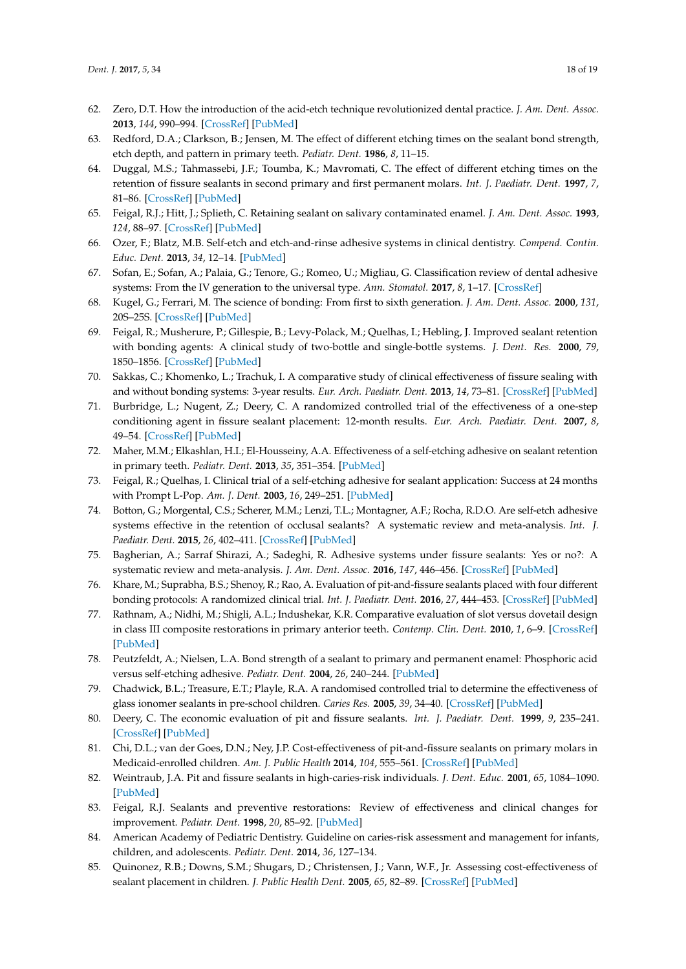- <span id="page-17-0"></span>62. Zero, D.T. How the introduction of the acid-etch technique revolutionized dental practice. *J. Am. Dent. Assoc.* **2013**, *144*, 990–994. [\[CrossRef\]](http://dx.doi.org/10.14219/jada.archive.2013.0224) [\[PubMed\]](http://www.ncbi.nlm.nih.gov/pubmed/23989836)
- <span id="page-17-1"></span>63. Redford, D.A.; Clarkson, B.; Jensen, M. The effect of different etching times on the sealant bond strength, etch depth, and pattern in primary teeth. *Pediatr. Dent.* **1986**, *8*, 11–15.
- <span id="page-17-2"></span>64. Duggal, M.S.; Tahmassebi, J.F.; Toumba, K.; Mavromati, C. The effect of different etching times on the retention of fissure sealants in second primary and first permanent molars. *Int. J. Paediatr. Dent.* **1997**, *7*, 81–86. [\[CrossRef\]](http://dx.doi.org/10.1111/j.1365-263X.1997.tb00283.x) [\[PubMed\]](http://www.ncbi.nlm.nih.gov/pubmed/9524458)
- <span id="page-17-3"></span>65. Feigal, R.J.; Hitt, J.; Splieth, C. Retaining sealant on salivary contaminated enamel. *J. Am. Dent. Assoc.* **1993**, *124*, 88–97. [\[CrossRef\]](http://dx.doi.org/10.14219/jada.archive.1993.0069) [\[PubMed\]](http://www.ncbi.nlm.nih.gov/pubmed/8335785)
- <span id="page-17-4"></span>66. Ozer, F.; Blatz, M.B. Self-etch and etch-and-rinse adhesive systems in clinical dentistry. *Compend. Contin. Educ. Dent.* **2013**, *34*, 12–14. [\[PubMed\]](http://www.ncbi.nlm.nih.gov/pubmed/23550327)
- <span id="page-17-6"></span>67. Sofan, E.; Sofan, A.; Palaia, G.; Tenore, G.; Romeo, U.; Migliau, G. Classification review of dental adhesive systems: From the IV generation to the universal type. *Ann. Stomatol.* **2017**, *8*, 1–17. [\[CrossRef\]](http://dx.doi.org/10.11138/ads/2017.8.1.001)
- <span id="page-17-5"></span>68. Kugel, G.; Ferrari, M. The science of bonding: From first to sixth generation. *J. Am. Dent. Assoc.* **2000**, *131*, 20S–25S. [\[CrossRef\]](http://dx.doi.org/10.14219/jada.archive.2000.0398) [\[PubMed\]](http://www.ncbi.nlm.nih.gov/pubmed/10860341)
- <span id="page-17-7"></span>69. Feigal, R.; Musherure, P.; Gillespie, B.; Levy-Polack, M.; Quelhas, I.; Hebling, J. Improved sealant retention with bonding agents: A clinical study of two-bottle and single-bottle systems. *J. Dent. Res.* **2000**, *79*, 1850–1856. [\[CrossRef\]](http://dx.doi.org/10.1177/00220345000790110601) [\[PubMed\]](http://www.ncbi.nlm.nih.gov/pubmed/11145354)
- <span id="page-17-8"></span>70. Sakkas, C.; Khomenko, L.; Trachuk, I. A comparative study of clinical effectiveness of fissure sealing with and without bonding systems: 3-year results. *Eur. Arch. Paediatr. Dent.* **2013**, *14*, 73–81. [\[CrossRef\]](http://dx.doi.org/10.1007/s40368-013-0022-y) [\[PubMed\]](http://www.ncbi.nlm.nih.gov/pubmed/23549995)
- <span id="page-17-9"></span>71. Burbridge, L.; Nugent, Z.; Deery, C. A randomized controlled trial of the effectiveness of a one-step conditioning agent in fissure sealant placement: 12-month results. *Eur. Arch. Paediatr. Dent.* **2007**, *8*, 49–54. [\[CrossRef\]](http://dx.doi.org/10.1007/BF03262570) [\[PubMed\]](http://www.ncbi.nlm.nih.gov/pubmed/17394891)
- <span id="page-17-10"></span>72. Maher, M.M.; Elkashlan, H.I.; El-Housseiny, A.A. Effectiveness of a self-etching adhesive on sealant retention in primary teeth. *Pediatr. Dent.* **2013**, *35*, 351–354. [\[PubMed\]](http://www.ncbi.nlm.nih.gov/pubmed/23930635)
- <span id="page-17-11"></span>73. Feigal, R.; Quelhas, I. Clinical trial of a self-etching adhesive for sealant application: Success at 24 months with Prompt L-Pop. *Am. J. Dent.* **2003**, *16*, 249–251. [\[PubMed\]](http://www.ncbi.nlm.nih.gov/pubmed/14579879)
- <span id="page-17-12"></span>74. Botton, G.; Morgental, C.S.; Scherer, M.M.; Lenzi, T.L.; Montagner, A.F.; Rocha, R.D.O. Are self-etch adhesive systems effective in the retention of occlusal sealants? A systematic review and meta-analysis. *Int. J. Paediatr. Dent.* **2015**, *26*, 402–411. [\[CrossRef\]](http://dx.doi.org/10.1111/ipd.12214) [\[PubMed\]](http://www.ncbi.nlm.nih.gov/pubmed/26590954)
- <span id="page-17-13"></span>75. Bagherian, A.; Sarraf Shirazi, A.; Sadeghi, R. Adhesive systems under fissure sealants: Yes or no?: A systematic review and meta-analysis. *J. Am. Dent. Assoc.* **2016**, *147*, 446–456. [\[CrossRef\]](http://dx.doi.org/10.1016/j.adaj.2016.01.014) [\[PubMed\]](http://www.ncbi.nlm.nih.gov/pubmed/26993212)
- <span id="page-17-14"></span>76. Khare, M.; Suprabha, B.S.; Shenoy, R.; Rao, A. Evaluation of pit-and-fissure sealants placed with four different bonding protocols: A randomized clinical trial. *Int. J. Paediatr. Dent.* **2016**, *27*, 444–453. [\[CrossRef\]](http://dx.doi.org/10.1111/ipd.12281) [\[PubMed\]](http://www.ncbi.nlm.nih.gov/pubmed/28024165)
- <span id="page-17-15"></span>77. Rathnam, A.; Nidhi, M.; Shigli, A.L.; Indushekar, K.R. Comparative evaluation of slot versus dovetail design in class III composite restorations in primary anterior teeth. *Contemp. Clin. Dent.* **2010**, *1*, 6–9. [\[CrossRef\]](http://dx.doi.org/10.4103/0976-237X.62511) [\[PubMed\]](http://www.ncbi.nlm.nih.gov/pubmed/22114369)
- <span id="page-17-16"></span>78. Peutzfeldt, A.; Nielsen, L.A. Bond strength of a sealant to primary and permanent enamel: Phosphoric acid versus self-etching adhesive. *Pediatr. Dent.* **2004**, *26*, 240–244. [\[PubMed\]](http://www.ncbi.nlm.nih.gov/pubmed/15185805)
- <span id="page-17-17"></span>79. Chadwick, B.L.; Treasure, E.T.; Playle, R.A. A randomised controlled trial to determine the effectiveness of glass ionomer sealants in pre-school children. *Caries Res.* **2005**, *39*, 34–40. [\[CrossRef\]](http://dx.doi.org/10.1159/000081654) [\[PubMed\]](http://www.ncbi.nlm.nih.gov/pubmed/15591732)
- <span id="page-17-18"></span>80. Deery, C. The economic evaluation of pit and fissure sealants. *Int. J. Paediatr. Dent.* **1999**, *9*, 235–241. [\[CrossRef\]](http://dx.doi.org/10.1111/j.1365-263X.1999.00141.x) [\[PubMed\]](http://www.ncbi.nlm.nih.gov/pubmed/10815581)
- <span id="page-17-19"></span>81. Chi, D.L.; van der Goes, D.N.; Ney, J.P. Cost-effectiveness of pit-and-fissure sealants on primary molars in Medicaid-enrolled children. *Am. J. Public Health* **2014**, *104*, 555–561. [\[CrossRef\]](http://dx.doi.org/10.2105/AJPH.2013.301588) [\[PubMed\]](http://www.ncbi.nlm.nih.gov/pubmed/24432941)
- <span id="page-17-20"></span>82. Weintraub, J.A. Pit and fissure sealants in high-caries-risk individuals. *J. Dent. Educ.* **2001**, *65*, 1084–1090. [\[PubMed\]](http://www.ncbi.nlm.nih.gov/pubmed/11699981)
- <span id="page-17-21"></span>83. Feigal, R.J. Sealants and preventive restorations: Review of effectiveness and clinical changes for improvement. *Pediatr. Dent.* **1998**, *20*, 85–92. [\[PubMed\]](http://www.ncbi.nlm.nih.gov/pubmed/9566011)
- <span id="page-17-22"></span>84. American Academy of Pediatric Dentistry. Guideline on caries-risk assessment and management for infants, children, and adolescents. *Pediatr. Dent.* **2014**, *36*, 127–134.
- <span id="page-17-23"></span>85. Quinonez, R.B.; Downs, S.M.; Shugars, D.; Christensen, J.; Vann, W.F., Jr. Assessing cost-effectiveness of sealant placement in children. *J. Public Health Dent.* **2005**, *65*, 82–89. [\[CrossRef\]](http://dx.doi.org/10.1111/j.1752-7325.2005.tb02791.x) [\[PubMed\]](http://www.ncbi.nlm.nih.gov/pubmed/15929545)